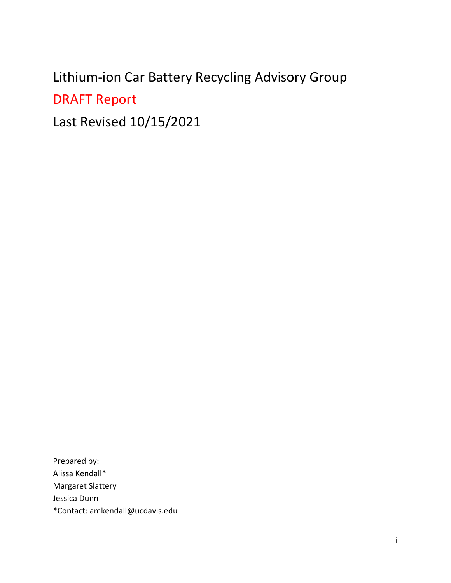# <span id="page-0-0"></span>Lithium-ion Car Battery Recycling Advisory Group

DRAFT Report

Last Revised 10/15/2021

Prepared by: Alissa Kendall\* Margaret Slattery Jessica Dunn \*Contact: amkendall@ucdavis.edu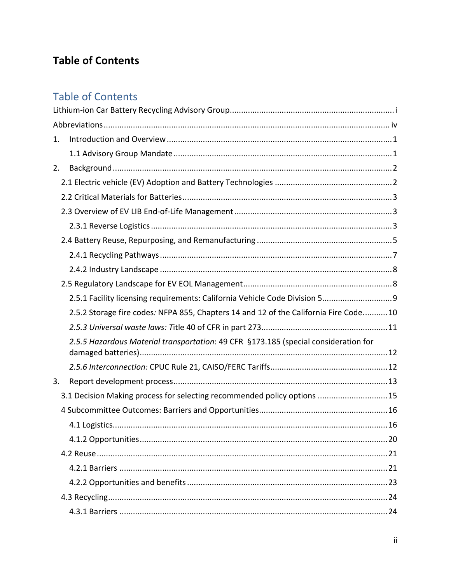## **Table of Contents**

## **Table of Contents**

| 1. |                                                                                      |  |
|----|--------------------------------------------------------------------------------------|--|
|    |                                                                                      |  |
| 2. |                                                                                      |  |
|    |                                                                                      |  |
|    |                                                                                      |  |
|    |                                                                                      |  |
|    |                                                                                      |  |
|    |                                                                                      |  |
|    |                                                                                      |  |
|    |                                                                                      |  |
|    |                                                                                      |  |
|    | 2.5.1 Facility licensing requirements: California Vehicle Code Division 5 9          |  |
|    | 2.5.2 Storage fire codes: NFPA 855, Chapters 14 and 12 of the California Fire Code10 |  |
|    |                                                                                      |  |
|    | 2.5.5 Hazardous Material transportation: 49 CFR §173.185 (special consideration for  |  |
|    |                                                                                      |  |
| 3. |                                                                                      |  |
|    | 3.1 Decision Making process for selecting recommended policy options 15              |  |
|    |                                                                                      |  |
|    |                                                                                      |  |
|    |                                                                                      |  |
|    |                                                                                      |  |
|    |                                                                                      |  |
|    |                                                                                      |  |
|    |                                                                                      |  |
|    |                                                                                      |  |
|    |                                                                                      |  |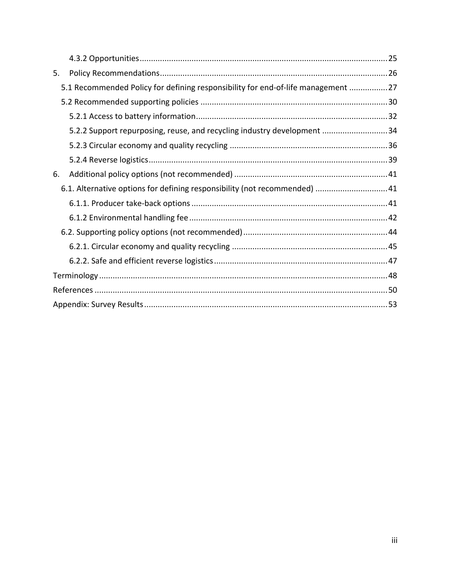| 5. |                                                                                  |  |
|----|----------------------------------------------------------------------------------|--|
|    | 5.1 Recommended Policy for defining responsibility for end-of-life management 27 |  |
|    |                                                                                  |  |
|    |                                                                                  |  |
|    | 5.2.2 Support repurposing, reuse, and recycling industry development 34          |  |
|    |                                                                                  |  |
|    |                                                                                  |  |
| 6. |                                                                                  |  |
|    | 6.1. Alternative options for defining responsibility (not recommended)  41       |  |
|    |                                                                                  |  |
|    |                                                                                  |  |
|    |                                                                                  |  |
|    |                                                                                  |  |
|    |                                                                                  |  |
|    |                                                                                  |  |
|    |                                                                                  |  |
|    |                                                                                  |  |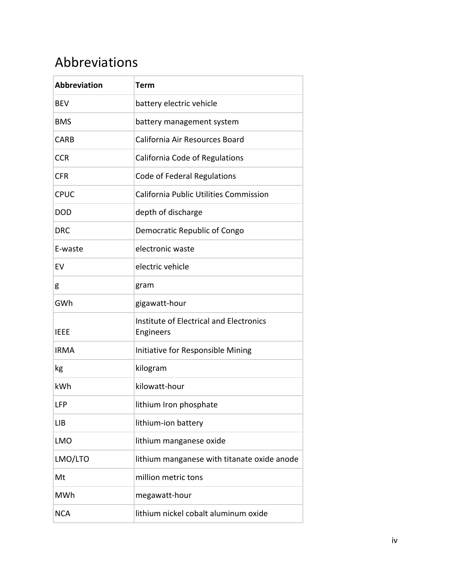## <span id="page-3-0"></span>Abbreviations

| <b>Abbreviation</b> | Term                                                 |  |  |  |
|---------------------|------------------------------------------------------|--|--|--|
| <b>BEV</b>          | battery electric vehicle                             |  |  |  |
| <b>BMS</b>          | battery management system                            |  |  |  |
| <b>CARB</b>         | California Air Resources Board                       |  |  |  |
| <b>CCR</b>          | California Code of Regulations                       |  |  |  |
| <b>CFR</b>          | Code of Federal Regulations                          |  |  |  |
| <b>CPUC</b>         | California Public Utilities Commission               |  |  |  |
| <b>DOD</b>          | depth of discharge                                   |  |  |  |
| <b>DRC</b>          | Democratic Republic of Congo                         |  |  |  |
| E-waste             | electronic waste                                     |  |  |  |
| EV                  | electric vehicle                                     |  |  |  |
| g                   | gram                                                 |  |  |  |
| GWh                 | gigawatt-hour                                        |  |  |  |
| <b>IEEE</b>         | Institute of Electrical and Electronics<br>Engineers |  |  |  |
| <b>IRMA</b>         | Initiative for Responsible Mining                    |  |  |  |
| kg                  | kilogram                                             |  |  |  |
| kWh                 | kilowatt-hour                                        |  |  |  |
| LFP                 | lithium Iron phosphate                               |  |  |  |
| <b>LIB</b>          | lithium-ion battery                                  |  |  |  |
| <b>LMO</b>          | lithium manganese oxide                              |  |  |  |
| LMO/LTO             | lithium manganese with titanate oxide anode          |  |  |  |
| Mt                  | million metric tons                                  |  |  |  |
| MWh                 | megawatt-hour                                        |  |  |  |
| <b>NCA</b>          | lithium nickel cobalt aluminum oxide                 |  |  |  |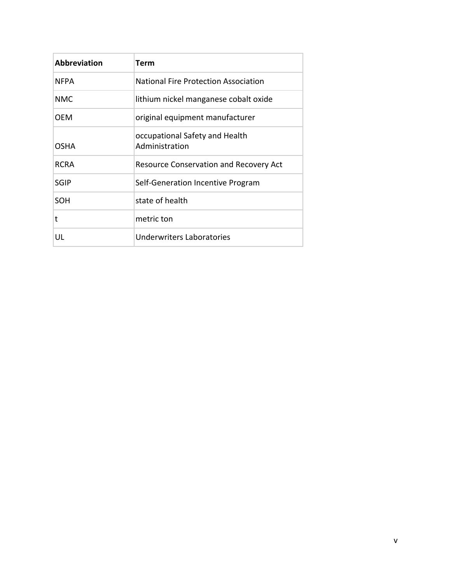| <b>Abbreviation</b> | Term                                             |
|---------------------|--------------------------------------------------|
| NFPA                | National Fire Protection Association             |
| <b>NMC</b>          | lithium nickel manganese cobalt oxide            |
| OEM                 | original equipment manufacturer                  |
| OSHA                | occupational Safety and Health<br>Administration |
| RCRA                | <b>Resource Conservation and Recovery Act</b>    |
| <b>SGIP</b>         | Self-Generation Incentive Program                |
| <b>SOH</b>          | state of health                                  |
| t                   | metric ton                                       |
| UL                  | Underwriters Laboratories                        |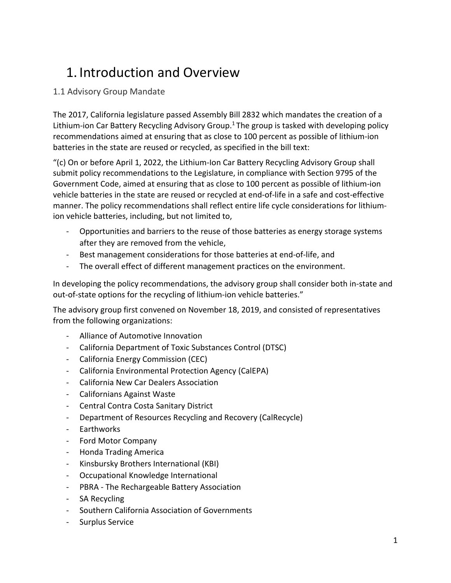## <span id="page-5-0"></span>1. Introduction and Overview

#### <span id="page-5-1"></span>1.1 Advisory Group Mandate

The 2017, California legislature passed Assembly Bill 2832 which mandates the creation of a Lithium-ion Car Battery Recycling Advisory Group.<sup>1</sup> The group is tasked with developing policy recommendations aimed at ensuring that as close to 100 percent as possible of lithium-ion batteries in the state are reused or recycled, as specified in the bill text:

"(c) On or before April 1, 2022, the Lithium-Ion Car Battery Recycling Advisory Group shall submit policy recommendations to the Legislature, in compliance with Section 9795 of the Government Code, aimed at ensuring that as close to 100 percent as possible of lithium-ion vehicle batteries in the state are reused or recycled at end-of-life in a safe and cost-effective manner. The policy recommendations shall reflect entire life cycle considerations for lithiumion vehicle batteries, including, but not limited to,

- Opportunities and barriers to the reuse of those batteries as energy storage systems after they are removed from the vehicle,
- Best management considerations for those batteries at end-of-life, and
- The overall effect of different management practices on the environment.

In developing the policy recommendations, the advisory group shall consider both in-state and out-of-state options for the recycling of lithium-ion vehicle batteries."

The advisory group first convened on November 18, 2019, and consisted of representatives from the following organizations:

- Alliance of Automotive Innovation
- California Department of Toxic Substances Control (DTSC)
- California Energy Commission (CEC)
- California Environmental Protection Agency (CalEPA)
- California New Car Dealers Association
- Californians Against Waste
- Central Contra Costa Sanitary District
- Department of Resources Recycling and Recovery (CalRecycle)
- Earthworks
- Ford Motor Company
- Honda Trading America
- Kinsbursky Brothers International (KBI)
- Occupational Knowledge International
- PBRA The Rechargeable Battery Association
- SA Recycling
- Southern California Association of Governments
- Surplus Service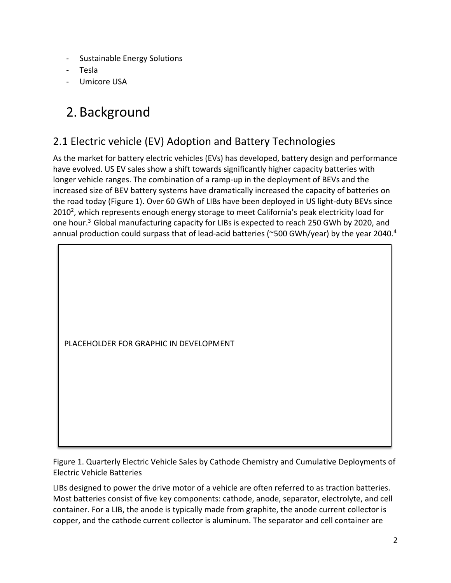- Sustainable Energy Solutions
- Tesla
- Umicore USA

## <span id="page-6-0"></span>2. Background

## <span id="page-6-1"></span>2.1 Electric vehicle (EV) Adoption and Battery Technologies

As the market for battery electric vehicles (EVs) has developed, battery design and performance have evolved. US EV sales show a shift towards significantly higher capacity batteries with longer vehicle ranges. The combination of a ramp-up in the deployment of BEVs and the increased size of BEV battery systems have dramatically increased the capacity of batteries on the road today (Figure 1). Over 60 GWh of LIBs have been deployed in US light-duty BEVs since 2010<sup>2</sup>, which represents enough energy storage to meet California's peak electricity load for one hour.<sup>3</sup> Global manufacturing capacity for LIBs is expected to reach 250 GWh by 2020, and annual production could surpass that of lead-acid batteries (~500 GWh/year) by the year 2040.<sup>4</sup>

PLACEHOLDER FOR GRAPHIC IN DEVELOPMENT

Figure 1. Quarterly Electric Vehicle Sales by Cathode Chemistry and Cumulative Deployments of Electric Vehicle Batteries

LIBs designed to power the drive motor of a vehicle are often referred to as traction batteries. Most batteries consist of five key components: cathode, anode, separator, electrolyte, and cell container. For a LIB, the anode is typically made from graphite, the anode current collector is copper, and the cathode current collector is aluminum. The separator and cell container are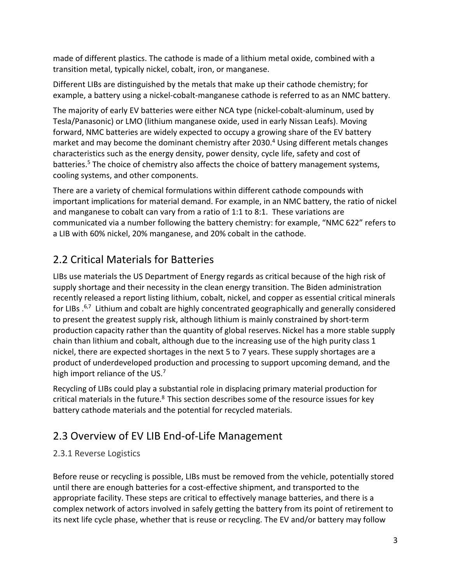made of different plastics. The cathode is made of a lithium metal oxide, combined with a transition metal, typically nickel, cobalt, iron, or manganese.

Different LIBs are distinguished by the metals that make up their cathode chemistry; for example, a battery using a nickel-cobalt-manganese cathode is referred to as an NMC battery.

The majority of early EV batteries were either NCA type (nickel-cobalt-aluminum, used by Tesla/Panasonic) or LMO (lithium manganese oxide, used in early Nissan Leafs). Moving forward, NMC batteries are widely expected to occupy a growing share of the EV battery market and may become the dominant chemistry after 2030. <sup>4</sup> Using different metals changes characteristics such as the energy density, power density, cycle life, safety and cost of batteries.<sup>5</sup> The choice of chemistry also affects the choice of battery management systems, cooling systems, and other components.

There are a variety of chemical formulations within different cathode compounds with important implications for material demand. For example, in an NMC battery, the ratio of nickel and manganese to cobalt can vary from a ratio of 1:1 to 8:1. These variations are communicated via a number following the battery chemistry: for example, "NMC 622" refers to a LIB with 60% nickel, 20% manganese, and 20% cobalt in the cathode.

## <span id="page-7-0"></span>2.2 Critical Materials for Batteries

LIBs use materials the US Department of Energy regards as critical because of the high risk of supply shortage and their necessity in the clean energy transition. The Biden administration recently released a report listing lithium, cobalt, nickel, and copper as essential critical minerals for LIBs .<sup>6,7</sup> Lithium and cobalt are highly concentrated geographically and generally considered to present the greatest supply risk, although lithium is mainly constrained by short-term production capacity rather than the quantity of global reserves. Nickel has a more stable supply chain than lithium and cobalt, although due to the increasing use of the high purity class 1 nickel, there are expected shortages in the next 5 to 7 years. These supply shortages are a product of underdeveloped production and processing to support upcoming demand, and the high import reliance of the US.<sup>7</sup>

Recycling of LIBs could play a substantial role in displacing primary material production for critical materials in the future.<sup>8</sup> This section describes some of the resource issues for key battery cathode materials and the potential for recycled materials.

## <span id="page-7-1"></span>2.3 Overview of EV LIB End-of-Life Management

### <span id="page-7-2"></span>2.3.1 Reverse Logistics

Before reuse or recycling is possible, LIBs must be removed from the vehicle, potentially stored until there are enough batteries for a cost-effective shipment, and transported to the appropriate facility. These steps are critical to effectively manage batteries, and there is a complex network of actors involved in safely getting the battery from its point of retirement to its next life cycle phase, whether that is reuse or recycling. The EV and/or battery may follow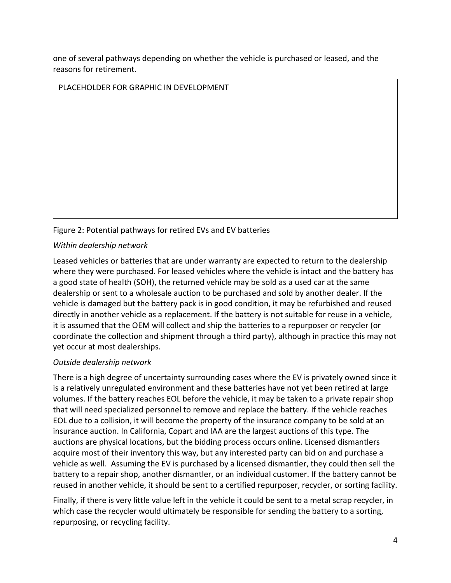one of several pathways depending on whether the vehicle is purchased or leased, and the reasons for retirement.

PLACEHOLDER FOR GRAPHIC IN DEVELOPMENT

#### Figure 2: Potential pathways for retired EVs and EV batteries

#### *Within dealership network*

Leased vehicles or batteries that are under warranty are expected to return to the dealership where they were purchased. For leased vehicles where the vehicle is intact and the battery has a good state of health (SOH), the returned vehicle may be sold as a used car at the same dealership or sent to a wholesale auction to be purchased and sold by another dealer. If the vehicle is damaged but the battery pack is in good condition, it may be refurbished and reused directly in another vehicle as a replacement. If the battery is not suitable for reuse in a vehicle, it is assumed that the OEM will collect and ship the batteries to a repurposer or recycler (or coordinate the collection and shipment through a third party), although in practice this may not yet occur at most dealerships.

#### *Outside dealership network*

There is a high degree of uncertainty surrounding cases where the EV is privately owned since it is a relatively unregulated environment and these batteries have not yet been retired at large volumes. If the battery reaches EOL before the vehicle, it may be taken to a private repair shop that will need specialized personnel to remove and replace the battery. If the vehicle reaches EOL due to a collision, it will become the property of the insurance company to be sold at an insurance auction. In California, Copart and IAA are the largest auctions of this type. The auctions are physical locations, but the bidding process occurs online. Licensed dismantlers acquire most of their inventory this way, but any interested party can bid on and purchase a vehicle as well. Assuming the EV is purchased by a licensed dismantler, they could then sell the battery to a repair shop, another dismantler, or an individual customer. If the battery cannot be reused in another vehicle, it should be sent to a certified repurposer, recycler, or sorting facility.

Finally, if there is very little value left in the vehicle it could be sent to a metal scrap recycler, in which case the recycler would ultimately be responsible for sending the battery to a sorting, repurposing, or recycling facility.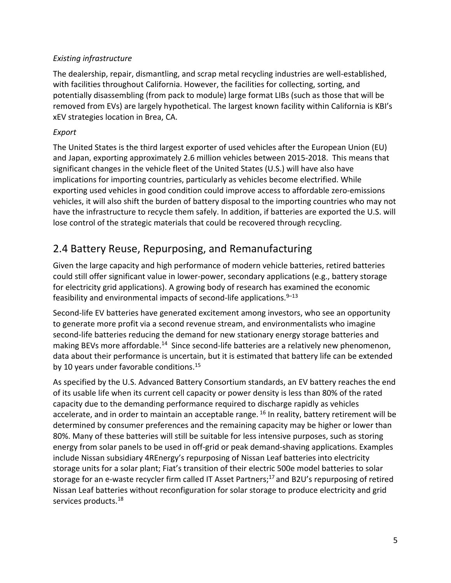#### *Existing infrastructure*

The dealership, repair, dismantling, and scrap metal recycling industries are well-established, with facilities throughout California. However, the facilities for collecting, sorting, and potentially disassembling (from pack to module) large format LIBs (such as those that will be removed from EVs) are largely hypothetical. The largest known facility within California is KBI's xEV strategies location in Brea, CA.

#### *Export*

The United States is the third largest exporter of used vehicles after the European Union (EU) and Japan, exporting approximately 2.6 million vehicles between 2015-2018. This means that significant changes in the vehicle fleet of the United States (U.S.) will have also have implications for importing countries, particularly as vehicles become electrified. While exporting used vehicles in good condition could improve access to affordable zero-emissions vehicles, it will also shift the burden of battery disposal to the importing countries who may not have the infrastructure to recycle them safely. In addition, if batteries are exported the U.S. will lose control of the strategic materials that could be recovered through recycling.

## <span id="page-9-0"></span>2.4 Battery Reuse, Repurposing, and Remanufacturing

Given the large capacity and high performance of modern vehicle batteries, retired batteries could still offer significant value in lower-power, secondary applications (e.g., battery storage for electricity grid applications). A growing body of research has examined the economic feasibility and environmental impacts of second-life applications.<sup>9–13</sup>

Second-life EV batteries have generated excitement among investors, who see an opportunity to generate more profit via a second revenue stream, and environmentalists who imagine second-life batteries reducing the demand for new stationary energy storage batteries and making BEVs more affordable.<sup>14</sup> Since second-life batteries are a relatively new phenomenon, data about their performance is uncertain, but it is estimated that battery life can be extended by 10 years under favorable conditions.<sup>15</sup>

As specified by the U.S. Advanced Battery Consortium standards, an EV battery reaches the end of its usable life when its current cell capacity or power density is less than 80% of the rated capacity due to the demanding performance required to discharge rapidly as vehicles accelerate, and in order to maintain an acceptable range.<sup>16</sup> In reality, battery retirement will be determined by consumer preferences and the remaining capacity may be higher or lower than 80%. Many of these batteries will still be suitable for less intensive purposes, such as storing energy from solar panels to be used in off-grid or peak demand-shaving applications. Examples include Nissan subsidiary 4REnergy's repurposing of Nissan Leaf batteries into electricity storage units for a solar plant; Fiat's transition of their electric 500e model batteries to solar storage for an e-waste recycler firm called IT Asset Partners; <sup>17</sup> and B2U's repurposing of retired Nissan Leaf batteries without reconfiguration for solar storage to produce electricity and grid services products.<sup>18</sup>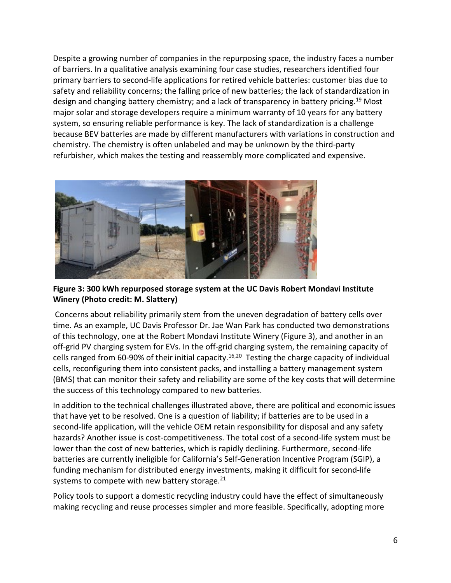Despite a growing number of companies in the repurposing space, the industry faces a number of barriers. In a qualitative analysis examining four case studies, researchers identified four primary barriers to second-life applications for retired vehicle batteries: customer bias due to safety and reliability concerns; the falling price of new batteries; the lack of standardization in design and changing battery chemistry; and a lack of transparency in battery pricing.<sup>19</sup> Most major solar and storage developers require a minimum warranty of 10 years for any battery system, so ensuring reliable performance is key. The lack of standardization is a challenge because BEV batteries are made by different manufacturers with variations in construction and chemistry. The chemistry is often unlabeled and may be unknown by the third-party refurbisher, which makes the testing and reassembly more complicated and expensive.



#### **Figure 3: 300 kWh repurposed storage system at the UC Davis Robert Mondavi Institute Winery (Photo credit: M. Slattery)**

Concerns about reliability primarily stem from the uneven degradation of battery cells over time. As an example, UC Davis Professor Dr. Jae Wan Park has conducted two demonstrations of this technology, one at the Robert Mondavi Institute Winery (Figure 3), and another in an off-grid PV charging system for EVs. In the off-grid charging system, the remaining capacity of cells ranged from 60-90% of their initial capacity.<sup>16,20</sup> Testing the charge capacity of individual cells, reconfiguring them into consistent packs, and installing a battery management system (BMS) that can monitor their safety and reliability are some of the key costs that will determine the success of this technology compared to new batteries.

In addition to the technical challenges illustrated above, there are political and economic issues that have yet to be resolved. One is a question of liability; if batteries are to be used in a second-life application, will the vehicle OEM retain responsibility for disposal and any safety hazards? Another issue is cost-competitiveness. The total cost of a second-life system must be lower than the cost of new batteries, which is rapidly declining. Furthermore, second-life batteries are currently ineligible for California's Self-Generation Incentive Program (SGIP), a funding mechanism for distributed energy investments, making it difficult for second-life systems to compete with new battery storage.<sup>21</sup>

Policy tools to support a domestic recycling industry could have the effect of simultaneously making recycling and reuse processes simpler and more feasible. Specifically, adopting more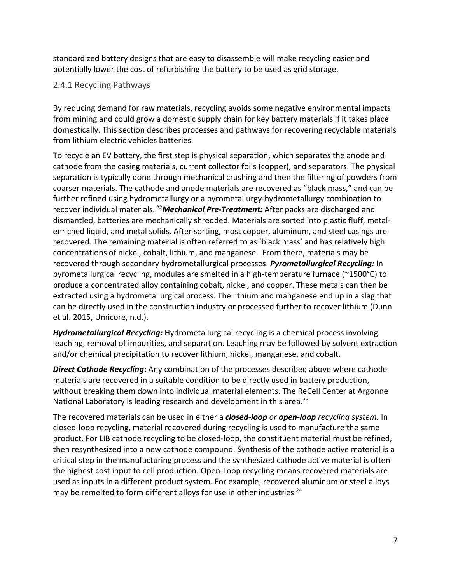standardized battery designs that are easy to disassemble will make recycling easier and potentially lower the cost of refurbishing the battery to be used as grid storage.

#### <span id="page-11-0"></span>2.4.1 Recycling Pathways

By reducing demand for raw materials, recycling avoids some negative environmental impacts from mining and could grow a domestic supply chain for key battery materials if it takes place domestically. This section describes processes and pathways for recovering recyclable materials from lithium electric vehicles batteries.

To recycle an EV battery, the first step is physical separation, which separates the anode and cathode from the casing materials, current collector foils (copper), and separators. The physical separation is typically done through mechanical crushing and then the filtering of powders from coarser materials. The cathode and anode materials are recovered as "black mass," and can be further refined using hydrometallurgy or a pyrometallurgy-hydrometallurgy combination to recover individual materials. <sup>22</sup>*Mechanical Pre-Treatment:* After packs are discharged and dismantled, batteries are mechanically shredded. Materials are sorted into plastic fluff, metalenriched liquid, and metal solids. After sorting, most copper, aluminum, and steel casings are recovered. The remaining material is often referred to as 'black mass' and has relatively high concentrations of nickel, cobalt, lithium, and manganese. From there, materials may be recovered through secondary hydrometallurgical processes. *Pyrometallurgical Recycling:* In pyrometallurgical recycling, modules are smelted in a high-temperature furnace (~1500°C) to produce a concentrated alloy containing cobalt, nickel, and copper. These metals can then be extracted using a hydrometallurgical process. The lithium and manganese end up in a slag that can be directly used in the construction industry or processed further to recover lithium (Dunn et al. 2015, Umicore, n.d.).

*Hydrometallurgical Recycling:* Hydrometallurgical recycling is a chemical process involving leaching, removal of impurities, and separation. Leaching may be followed by solvent extraction and/or chemical precipitation to recover lithium, nickel, manganese, and cobalt.

*Direct Cathode Recycling***:** Any combination of the processes described above where cathode materials are recovered in a suitable condition to be directly used in battery production, without breaking them down into individual material elements. The ReCell Center at Argonne National Laboratory is leading research and development in this area.<sup>23</sup>

The recovered materials can be used in either a *closed-loop or open-loop recycling system.* In closed-loop recycling, material recovered during recycling is used to manufacture the same product. For LIB cathode recycling to be closed-loop, the constituent material must be refined, then resynthesized into a new cathode compound. Synthesis of the cathode active material is a critical step in the manufacturing process and the synthesized cathode active material is often the highest cost input to cell production. Open-Loop recycling means recovered materials are used as inputs in a different product system. For example, recovered aluminum or steel alloys may be remelted to form different alloys for use in other industries <sup>24</sup>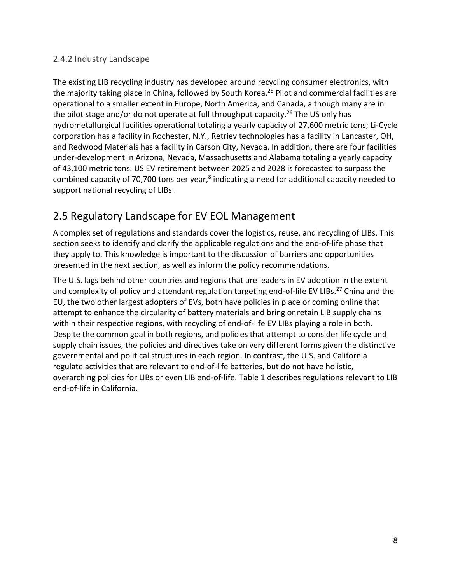#### <span id="page-12-0"></span>2.4.2 Industry Landscape

The existing LIB recycling industry has developed around recycling consumer electronics, with the majority taking place in China, followed by South Korea. <sup>25</sup> Pilot and commercial facilities are operational to a smaller extent in Europe, North America, and Canada, although many are in the pilot stage and/or do not operate at full throughput capacity.<sup>26</sup> The US only has hydrometallurgical facilities operational totaling a yearly capacity of 27,600 metric tons; Li-Cycle corporation has a facility in Rochester, N.Y., Retriev technologies has a facility in Lancaster, OH, and Redwood Materials has a facility in Carson City, Nevada. In addition, there are four facilities under-development in Arizona, Nevada, Massachusetts and Alabama totaling a yearly capacity of 43,100 metric tons. US EV retirement between 2025 and 2028 is forecasted to surpass the combined capacity of 70,700 tons per year,<sup>8</sup> indicating a need for additional capacity needed to support national recycling of LIBs .

### <span id="page-12-1"></span>2.5 Regulatory Landscape for EV EOL Management

A complex set of regulations and standards cover the logistics, reuse, and recycling of LIBs. This section seeks to identify and clarify the applicable regulations and the end-of-life phase that they apply to. This knowledge is important to the discussion of barriers and opportunities presented in the next section, as well as inform the policy recommendations.

The U.S. lags behind other countries and regions that are leaders in EV adoption in the extent and complexity of policy and attendant regulation targeting end-of-life EV LIBs.<sup>27</sup> China and the EU, the two other largest adopters of EVs, both have policies in place or coming online that attempt to enhance the circularity of battery materials and bring or retain LIB supply chains within their respective regions, with recycling of end-of-life EV LIBs playing a role in both. Despite the common goal in both regions, and policies that attempt to consider life cycle and supply chain issues, the policies and directives take on very different forms given the distinctive governmental and political structures in each region. In contrast, the U.S. and California regulate activities that are relevant to end-of-life batteries, but do not have holistic, overarching policies for LIBs or even LIB end-of-life. Table 1 describes regulations relevant to LIB end-of-life in California.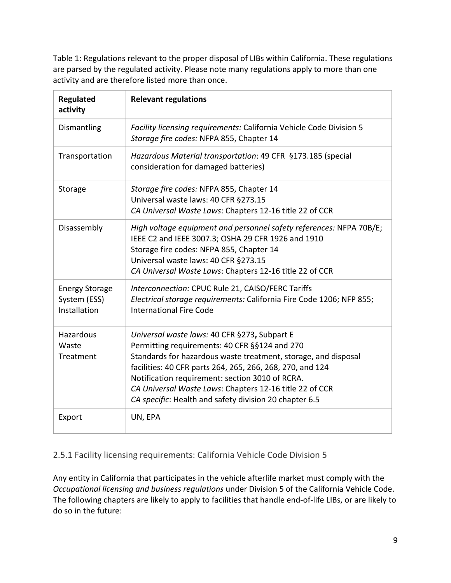Table 1: Regulations relevant to the proper disposal of LIBs within California. These regulations are parsed by the regulated activity. Please note many regulations apply to more than one activity and are therefore listed more than once.

| <b>Regulated</b><br>activity                          | <b>Relevant regulations</b>                                                                                                                                                                                                                                                                                                                                                                          |
|-------------------------------------------------------|------------------------------------------------------------------------------------------------------------------------------------------------------------------------------------------------------------------------------------------------------------------------------------------------------------------------------------------------------------------------------------------------------|
| Dismantling                                           | Facility licensing requirements: California Vehicle Code Division 5<br>Storage fire codes: NFPA 855, Chapter 14                                                                                                                                                                                                                                                                                      |
| Transportation                                        | Hazardous Material transportation: 49 CFR §173.185 (special<br>consideration for damaged batteries)                                                                                                                                                                                                                                                                                                  |
| Storage                                               | Storage fire codes: NFPA 855, Chapter 14<br>Universal waste laws: 40 CFR §273.15<br>CA Universal Waste Laws: Chapters 12-16 title 22 of CCR                                                                                                                                                                                                                                                          |
| Disassembly                                           | High voltage equipment and personnel safety references: NFPA 70B/E;<br>IEEE C2 and IEEE 3007.3; OSHA 29 CFR 1926 and 1910<br>Storage fire codes: NFPA 855, Chapter 14<br>Universal waste laws: 40 CFR §273.15<br>CA Universal Waste Laws: Chapters 12-16 title 22 of CCR                                                                                                                             |
| <b>Energy Storage</b><br>System (ESS)<br>Installation | Interconnection: CPUC Rule 21, CAISO/FERC Tariffs<br>Electrical storage requirements: California Fire Code 1206; NFP 855;<br><b>International Fire Code</b>                                                                                                                                                                                                                                          |
| Hazardous<br>Waste<br>Treatment                       | Universal waste laws: 40 CFR §273, Subpart E<br>Permitting requirements: 40 CFR §§124 and 270<br>Standards for hazardous waste treatment, storage, and disposal<br>facilities: 40 CFR parts 264, 265, 266, 268, 270, and 124<br>Notification requirement: section 3010 of RCRA.<br>CA Universal Waste Laws: Chapters 12-16 title 22 of CCR<br>CA specific: Health and safety division 20 chapter 6.5 |
| Export                                                | UN, EPA                                                                                                                                                                                                                                                                                                                                                                                              |

<span id="page-13-0"></span>2.5.1 Facility licensing requirements: California Vehicle Code Division 5

Any entity in California that participates in the vehicle afterlife market must comply with the *Occupational licensing and business regulations* under Division 5 of the California Vehicle Code. The following chapters are likely to apply to facilities that handle end-of-life LIBs, or are likely to do so in the future: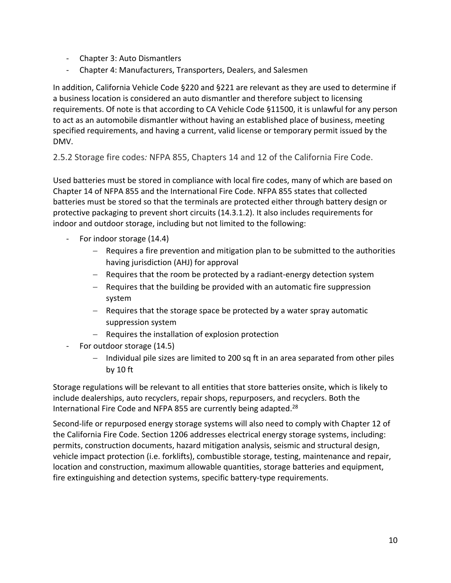- Chapter 3: Auto Dismantlers
- Chapter 4: Manufacturers, Transporters, Dealers, and Salesmen

In addition, California Vehicle Code §220 and §221 are relevant as they are used to determine if a business location is considered an auto dismantler and therefore subject to licensing requirements. Of note is that according to CA Vehicle Code §11500, it is unlawful for any person to act as an automobile dismantler without having an established place of business, meeting specified requirements, and having a current, valid license or temporary permit issued by the DMV.

<span id="page-14-0"></span>2.5.2 Storage fire codes*:* NFPA 855, Chapters 14 and 12 of the California Fire Code.

Used batteries must be stored in compliance with local fire codes, many of which are based on Chapter 14 of NFPA 855 and the International Fire Code. NFPA 855 states that collected batteries must be stored so that the terminals are protected either through battery design or protective packaging to prevent short circuits (14.3.1.2). It also includes requirements for indoor and outdoor storage, including but not limited to the following:

- For indoor storage (14.4)
	- − Requires a fire prevention and mitigation plan to be submitted to the authorities having jurisdiction (AHJ) for approval
	- − Requires that the room be protected by a radiant-energy detection system
	- − Requires that the building be provided with an automatic fire suppression system
	- − Requires that the storage space be protected by a water spray automatic suppression system
	- − Requires the installation of explosion protection
- For outdoor storage (14.5)
	- − Individual pile sizes are limited to 200 sq ft in an area separated from other piles by 10 ft

Storage regulations will be relevant to all entities that store batteries onsite, which is likely to include dealerships, auto recyclers, repair shops, repurposers, and recyclers. Both the International Fire Code and NFPA 855 are currently being adapted.<sup>28</sup>

Second-life or repurposed energy storage systems will also need to comply with Chapter 12 of the California Fire Code. Section 1206 addresses electrical energy storage systems, including: permits, construction documents, hazard mitigation analysis, seismic and structural design, vehicle impact protection (i.e. forklifts), combustible storage, testing, maintenance and repair, location and construction, maximum allowable quantities, storage batteries and equipment, fire extinguishing and detection systems, specific battery-type requirements.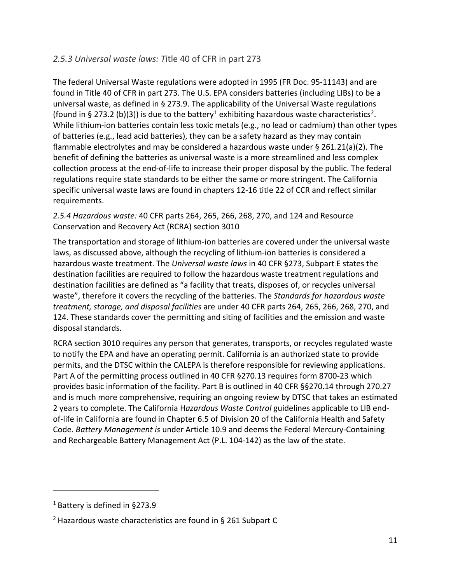#### <span id="page-15-0"></span>*2.5.3 Universal waste laws: T*itle 40 of CFR in part 273

The federal Universal Waste regulations were adopted in 1995 (FR Doc. 95-11143) and are found in Title 40 of CFR in part 273. The U.S. EPA considers batteries (including LIBs) to be a universal waste, as defined in § 273.9. The applicability of the Universal Waste regulations (found in § 273.2 (b)(3)) is due to the battery<sup>[1](#page-15-1)</sup> exhibiting hazardous waste characteristics<sup>2</sup>. While lithium-ion batteries contain less toxic metals (e.g., no lead or cadmium) than other types of batteries (e.g., lead acid batteries), they can be a safety hazard as they may contain flammable electrolytes and may be considered a hazardous waste under § 261.21(a)(2). The benefit of defining the batteries as universal waste is a more streamlined and less complex collection process at the end-of-life to increase their proper disposal by the public. The federal regulations require state standards to be either the same or more stringent. The California specific universal waste laws are found in chapters 12-16 title 22 of CCR and reflect similar requirements.

*2.5.4 Hazardous waste:* 40 CFR parts 264, 265, 266, 268, 270, and 124 and Resource Conservation and Recovery Act (RCRA) section 3010

The transportation and storage of lithium-ion batteries are covered under the universal waste laws, as discussed above, although the recycling of lithium-ion batteries is considered a hazardous waste treatment. The *Universal waste laws* in 40 CFR §273, Subpart E states the destination facilities are required to follow the hazardous waste treatment regulations and destination facilities are defined as "a facility that treats, disposes of, or recycles universal waste", therefore it covers the recycling of the batteries. The *Standards for hazardous waste treatment, storage, and disposal facilities* are under 40 CFR parts 264, 265, 266, 268, 270, and 124. These standards cover the permitting and siting of facilities and the emission and waste disposal standards.

RCRA section 3010 requires any person that generates, transports, or recycles regulated waste to notify the EPA and have an operating permit. California is an authorized state to provide permits, and the DTSC within the CALEPA is therefore responsible for reviewing applications. Part A of the permitting process outlined in 40 CFR §270.13 requires form 8700-23 which provides basic information of the facility. Part B is outlined in 40 CFR §§270.14 through 270.27 and is much more comprehensive, requiring an ongoing review by DTSC that takes an estimated 2 years to complete. The California H*azardous Waste Control* guidelines applicable to LIB endof-life in California are found in Chapter 6.5 of Division 20 of the California Health and Safety Code. *Battery Management is* under Article 10.9 and deems the Federal Mercury-Containing and Rechargeable Battery Management Act (P.L. 104-142) as the law of the state.

<span id="page-15-1"></span><sup>&</sup>lt;sup>1</sup> Battery is defined in §273.9

<span id="page-15-2"></span><sup>2</sup> Hazardous waste characteristics are found in § 261 Subpart C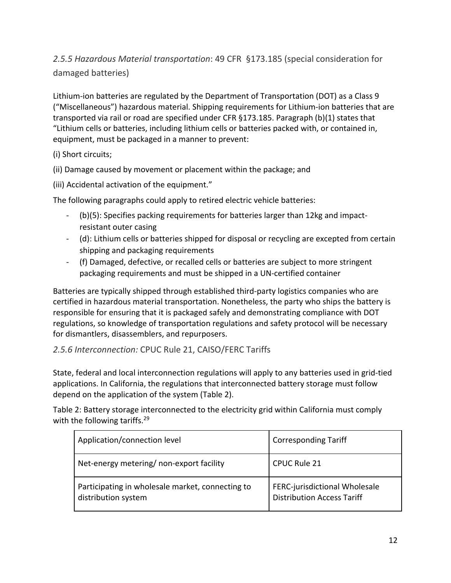<span id="page-16-0"></span>*2.5.5 Hazardous Material transportation*: 49 CFR §173.185 (special consideration for damaged batteries)

Lithium-ion batteries are regulated by the Department of Transportation (DOT) as a Class 9 ("Miscellaneous") hazardous material. Shipping requirements for Lithium-ion batteries that are transported via rail or road are specified under CFR §173.185. Paragraph (b)(1) states that "Lithium cells or batteries, including lithium cells or batteries packed with, or contained in, equipment, must be packaged in a manner to prevent:

(i) Short circuits;

(ii) Damage caused by movement or placement within the package; and

(iii) Accidental activation of the equipment."

The following paragraphs could apply to retired electric vehicle batteries:

- (b)(5): Specifies packing requirements for batteries larger than 12kg and impactresistant outer casing
- (d): Lithium cells or batteries shipped for disposal or recycling are excepted from certain shipping and packaging requirements
- (f) Damaged, defective, or recalled cells or batteries are subject to more stringent packaging requirements and must be shipped in a UN-certified container

Batteries are typically shipped through established third-party logistics companies who are certified in hazardous material transportation. Nonetheless, the party who ships the battery is responsible for ensuring that it is packaged safely and demonstrating compliance with DOT regulations, so knowledge of transportation regulations and safety protocol will be necessary for dismantlers, disassemblers, and repurposers.

#### <span id="page-16-1"></span>*2.5.6 Interconnection:* CPUC Rule 21, CAISO/FERC Tariffs

State, federal and local interconnection regulations will apply to any batteries used in grid-tied applications. In California, the regulations that interconnected battery storage must follow depend on the application of the system (Table 2).

Table 2: Battery storage interconnected to the electricity grid within California must comply with the following tariffs.<sup>29</sup>

| Application/connection level                                            | <b>Corresponding Tariff</b>                                        |  |  |
|-------------------------------------------------------------------------|--------------------------------------------------------------------|--|--|
| Net-energy metering/non-export facility                                 | <b>CPUC Rule 21</b>                                                |  |  |
| Participating in wholesale market, connecting to<br>distribution system | FERC-jurisdictional Wholesale<br><b>Distribution Access Tariff</b> |  |  |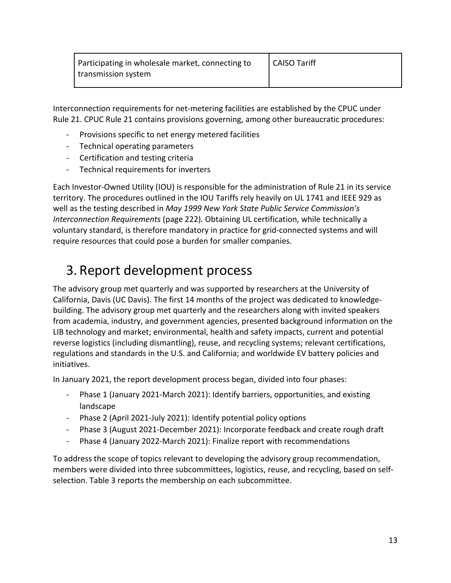| Participating in wholesale market, connecting to | <b>CAISO Tariff</b> |
|--------------------------------------------------|---------------------|
| transmission system                              |                     |

Interconnection requirements for net-metering facilities are established by the CPUC under Rule 21. CPUC Rule 21 contains provisions governing, among other bureaucratic procedures:

- Provisions specific to net energy metered facilities
- Technical operating parameters
- Certification and testing criteria
- Technical requirements for inverters

Each Investor-Owned Utility (IOU) is responsible for the administration of Rule 21 in its service territory. The procedures outlined in the IOU Tariffs rely heavily on UL 1741 and IEEE 929 as well as the testing described in *May 1999 New York State Public Service Commission's Interconnection Requirements* (page 222)*.* Obtaining UL certification, while technically a voluntary standard, is therefore mandatory in practice for grid-connected systems and will require resources that could pose a burden for smaller companies.

## <span id="page-17-0"></span>3. Report development process

The advisory group met quarterly and was supported by researchers at the University of California, Davis (UC Davis). The first 14 months of the project was dedicated to knowledgebuilding. The advisory group met quarterly and the researchers along with invited speakers from academia, industry, and government agencies, presented background information on the LIB technology and market; environmental, health and safety impacts, current and potential reverse logistics (including dismantling), reuse, and recycling systems; relevant certifications, regulations and standards in the U.S. and California; and worldwide EV battery policies and initiatives.

In January 2021, the report development process began, divided into four phases:

- Phase 1 (January 2021-March 2021): Identify barriers, opportunities, and existing landscape
- Phase 2 (April 2021-July 2021): Identify potential policy options
- Phase 3 (August 2021-December 2021): Incorporate feedback and create rough draft
- Phase 4 (January 2022-March 2021): Finalize report with recommendations

To address the scope of topics relevant to developing the advisory group recommendation, members were divided into three subcommittees, logistics, reuse, and recycling, based on selfselection. Table 3 reports the membership on each subcommittee.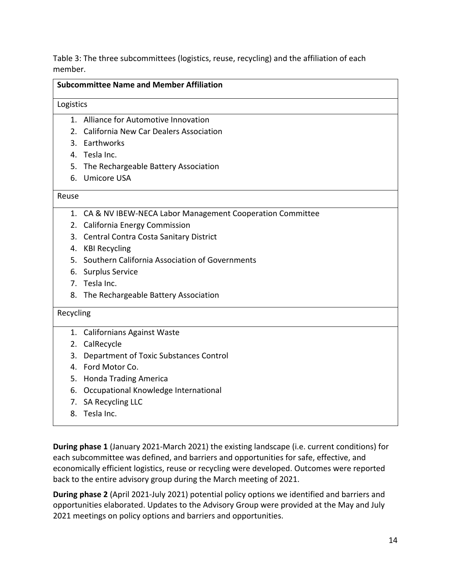Table 3: The three subcommittees (logistics, reuse, recycling) and the affiliation of each member.

| <b>Subcommittee Name and Member Affiliation</b> |                                                             |  |  |  |  |  |  |
|-------------------------------------------------|-------------------------------------------------------------|--|--|--|--|--|--|
| Logistics                                       |                                                             |  |  |  |  |  |  |
|                                                 | 1. Alliance for Automotive Innovation                       |  |  |  |  |  |  |
| 2.                                              | California New Car Dealers Association                      |  |  |  |  |  |  |
|                                                 | 3. Earthworks                                               |  |  |  |  |  |  |
|                                                 | 4. Tesla Inc.                                               |  |  |  |  |  |  |
| 5.                                              | The Rechargeable Battery Association                        |  |  |  |  |  |  |
| 6.                                              | Umicore USA                                                 |  |  |  |  |  |  |
| Reuse                                           |                                                             |  |  |  |  |  |  |
|                                                 | 1. CA & NV IBEW-NECA Labor Management Cooperation Committee |  |  |  |  |  |  |
|                                                 | 2. California Energy Commission                             |  |  |  |  |  |  |
|                                                 | 3. Central Contra Costa Sanitary District                   |  |  |  |  |  |  |
|                                                 | 4. KBI Recycling                                            |  |  |  |  |  |  |
| 5.                                              | Southern California Association of Governments              |  |  |  |  |  |  |
| 6.                                              | <b>Surplus Service</b>                                      |  |  |  |  |  |  |
|                                                 | 7. Tesla Inc.                                               |  |  |  |  |  |  |
| 8.                                              | The Rechargeable Battery Association                        |  |  |  |  |  |  |
| Recycling                                       |                                                             |  |  |  |  |  |  |
|                                                 | 1. Californians Against Waste                               |  |  |  |  |  |  |
|                                                 | 2. CalRecycle                                               |  |  |  |  |  |  |
| 3.                                              | Department of Toxic Substances Control                      |  |  |  |  |  |  |
| 4.                                              | Ford Motor Co.                                              |  |  |  |  |  |  |
| 5.                                              | <b>Honda Trading America</b>                                |  |  |  |  |  |  |
| 6.                                              | Occupational Knowledge International                        |  |  |  |  |  |  |
| 7.                                              | SA Recycling LLC                                            |  |  |  |  |  |  |
| 8.                                              | Tesla Inc.                                                  |  |  |  |  |  |  |

**During phase 1** (January 2021-March 2021) the existing landscape (i.e. current conditions) for each subcommittee was defined, and barriers and opportunities for safe, effective, and economically efficient logistics, reuse or recycling were developed. Outcomes were reported back to the entire advisory group during the March meeting of 2021.

**During phase 2** (April 2021-July 2021) potential policy options we identified and barriers and opportunities elaborated. Updates to the Advisory Group were provided at the May and July 2021 meetings on policy options and barriers and opportunities.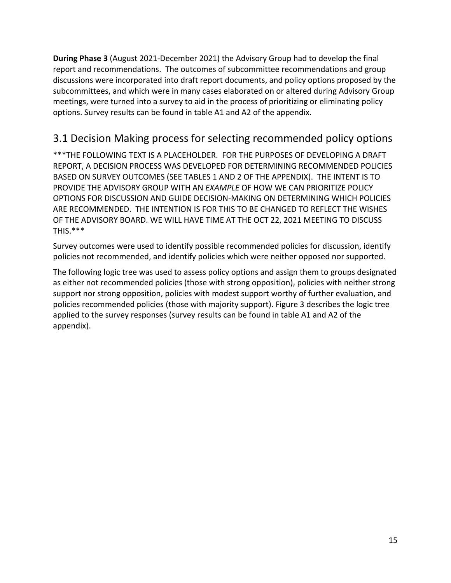**During Phase 3** (August 2021-December 2021) the Advisory Group had to develop the final report and recommendations. The outcomes of subcommittee recommendations and group discussions were incorporated into draft report documents, and policy options proposed by the subcommittees, and which were in many cases elaborated on or altered during Advisory Group meetings, were turned into a survey to aid in the process of prioritizing or eliminating policy options. Survey results can be found in table A1 and A2 of the appendix.

## <span id="page-19-0"></span>3.1 Decision Making process for selecting recommended policy options

\*\*\*THE FOLLOWING TEXT IS A PLACEHOLDER. FOR THE PURPOSES OF DEVELOPING A DRAFT REPORT, A DECISION PROCESS WAS DEVELOPED FOR DETERMINING RECOMMENDED POLICIES BASED ON SURVEY OUTCOMES (SEE TABLES 1 AND 2 OF THE APPENDIX). THE INTENT IS TO PROVIDE THE ADVISORY GROUP WITH AN *EXAMPLE* OF HOW WE CAN PRIORITIZE POLICY OPTIONS FOR DISCUSSION AND GUIDE DECISION-MAKING ON DETERMINING WHICH POLICIES ARE RECOMMENDED. THE INTENTION IS FOR THIS TO BE CHANGED TO REFLECT THE WISHES OF THE ADVISORY BOARD. WE WILL HAVE TIME AT THE OCT 22, 2021 MEETING TO DISCUSS THIS.\*\*\*

Survey outcomes were used to identify possible recommended policies for discussion, identify policies not recommended, and identify policies which were neither opposed nor supported.

The following logic tree was used to assess policy options and assign them to groups designated as either not recommended policies (those with strong opposition), policies with neither strong support nor strong opposition, policies with modest support worthy of further evaluation, and policies recommended policies (those with majority support). Figure 3 describes the logic tree applied to the survey responses (survey results can be found in table A1 and A2 of the appendix).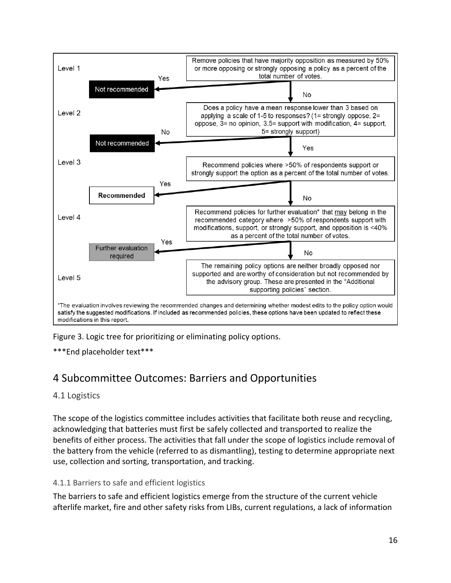

Figure 3. Logic tree for prioritizing or eliminating policy options.

\*\*\*End placeholder text\*\*\*

### <span id="page-20-0"></span>4 Subcommittee Outcomes: Barriers and Opportunities

#### <span id="page-20-1"></span>4.1 Logistics

The scope of the logistics committee includes activities that facilitate both reuse and recycling, acknowledging that batteries must first be safely collected and transported to realize the benefits of either process. The activities that fall under the scope of logistics include removal of the battery from the vehicle (referred to as dismantling), testing to determine appropriate next use, collection and sorting, transportation, and tracking.

#### 4.1.1 Barriers to safe and efficient logistics

The barriers to safe and efficient logistics emerge from the structure of the current vehicle afterlife market, fire and other safety risks from LIBs, current regulations, a lack of information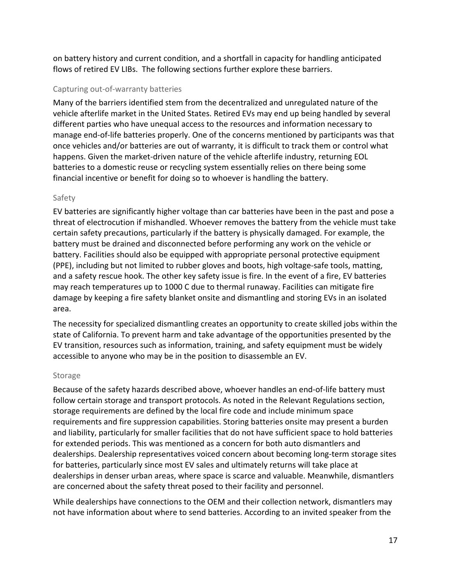on battery history and current condition, and a shortfall in capacity for handling anticipated flows of retired EV LIBs. The following sections further explore these barriers.

#### Capturing out-of-warranty batteries

Many of the barriers identified stem from the decentralized and unregulated nature of the vehicle afterlife market in the United States. Retired EVs may end up being handled by several different parties who have unequal access to the resources and information necessary to manage end-of-life batteries properly. One of the concerns mentioned by participants was that once vehicles and/or batteries are out of warranty, it is difficult to track them or control what happens. Given the market-driven nature of the vehicle afterlife industry, returning EOL batteries to a domestic reuse or recycling system essentially relies on there being some financial incentive or benefit for doing so to whoever is handling the battery.

#### Safety

EV batteries are significantly higher voltage than car batteries have been in the past and pose a threat of electrocution if mishandled. Whoever removes the battery from the vehicle must take certain safety precautions, particularly if the battery is physically damaged. For example, the battery must be drained and disconnected before performing any work on the vehicle or battery. Facilities should also be equipped with appropriate personal protective equipment (PPE), including but not limited to rubber gloves and boots, high voltage-safe tools, matting, and a safety rescue hook. The other key safety issue is fire. In the event of a fire, EV batteries may reach temperatures up to 1000 C due to thermal runaway. Facilities can mitigate fire damage by keeping a fire safety blanket onsite and dismantling and storing EVs in an isolated area.

The necessity for specialized dismantling creates an opportunity to create skilled jobs within the state of California. To prevent harm and take advantage of the opportunities presented by the EV transition, resources such as information, training, and safety equipment must be widely accessible to anyone who may be in the position to disassemble an EV.

#### Storage

Because of the safety hazards described above, whoever handles an end-of-life battery must follow certain storage and transport protocols. As noted in the Relevant Regulations section, storage requirements are defined by the local fire code and include minimum space requirements and fire suppression capabilities. Storing batteries onsite may present a burden and liability, particularly for smaller facilities that do not have sufficient space to hold batteries for extended periods. This was mentioned as a concern for both auto dismantlers and dealerships. Dealership representatives voiced concern about becoming long-term storage sites for batteries, particularly since most EV sales and ultimately returns will take place at dealerships in denser urban areas, where space is scarce and valuable. Meanwhile, dismantlers are concerned about the safety threat posed to their facility and personnel.

While dealerships have connections to the OEM and their collection network, dismantlers may not have information about where to send batteries. According to an invited speaker from the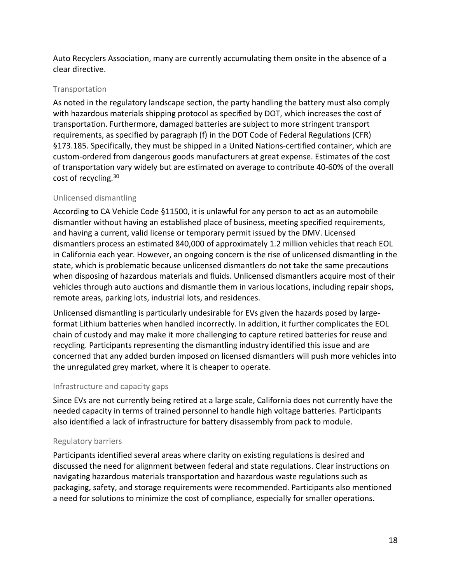Auto Recyclers Association, many are currently accumulating them onsite in the absence of a clear directive.

#### Transportation

As noted in the regulatory landscape section, the party handling the battery must also comply with hazardous materials shipping protocol as specified by DOT, which increases the cost of transportation. Furthermore, damaged batteries are subject to more stringent transport requirements, as specified by paragraph (f) in the DOT Code of Federal Regulations (CFR) §173.185. Specifically, they must be shipped in a United Nations-certified container, which are custom-ordered from dangerous goods manufacturers at great expense. Estimates of the cost of transportation vary widely but are estimated on average to contribute 40-60% of the overall cost of recycling.<sup>30</sup>

#### Unlicensed dismantling

According to CA Vehicle Code §11500, it is unlawful for any person to act as an automobile dismantler without having an established place of business, meeting specified requirements, and having a current, valid license or temporary permit issued by the DMV. Licensed dismantlers process an estimated 840,000 of approximately 1.2 million vehicles that reach EOL in California each year. However, an ongoing concern is the rise of unlicensed dismantling in the state, which is problematic because unlicensed dismantlers do not take the same precautions when disposing of hazardous materials and fluids. Unlicensed dismantlers acquire most of their vehicles through auto auctions and dismantle them in various locations, including repair shops, remote areas, parking lots, industrial lots, and residences.

Unlicensed dismantling is particularly undesirable for EVs given the hazards posed by largeformat Lithium batteries when handled incorrectly. In addition, it further complicates the EOL chain of custody and may make it more challenging to capture retired batteries for reuse and recycling. Participants representing the dismantling industry identified this issue and are concerned that any added burden imposed on licensed dismantlers will push more vehicles into the unregulated grey market, where it is cheaper to operate.

#### Infrastructure and capacity gaps

Since EVs are not currently being retired at a large scale, California does not currently have the needed capacity in terms of trained personnel to handle high voltage batteries. Participants also identified a lack of infrastructure for battery disassembly from pack to module.

#### Regulatory barriers

Participants identified several areas where clarity on existing regulations is desired and discussed the need for alignment between federal and state regulations. Clear instructions on navigating hazardous materials transportation and hazardous waste regulations such as packaging, safety, and storage requirements were recommended. Participants also mentioned a need for solutions to minimize the cost of compliance, especially for smaller operations.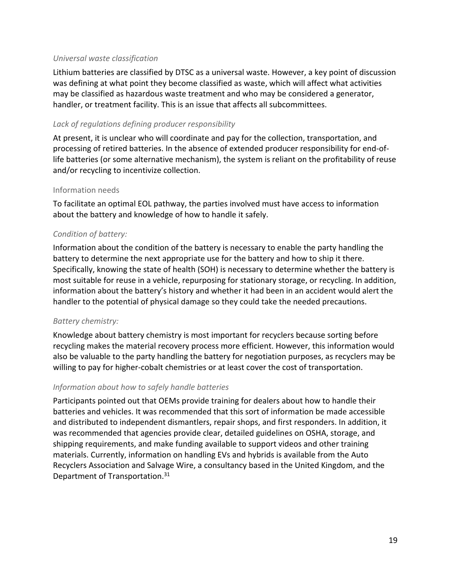#### *Universal waste classification*

Lithium batteries are classified by DTSC as a universal waste. However, a key point of discussion was defining at what point they become classified as waste, which will affect what activities may be classified as hazardous waste treatment and who may be considered a generator, handler, or treatment facility. This is an issue that affects all subcommittees.

#### *Lack of regulations defining producer responsibility*

At present, it is unclear who will coordinate and pay for the collection, transportation, and processing of retired batteries. In the absence of extended producer responsibility for end-oflife batteries (or some alternative mechanism), the system is reliant on the profitability of reuse and/or recycling to incentivize collection.

#### Information needs

To facilitate an optimal EOL pathway, the parties involved must have access to information about the battery and knowledge of how to handle it safely.

#### *Condition of battery:*

Information about the condition of the battery is necessary to enable the party handling the battery to determine the next appropriate use for the battery and how to ship it there. Specifically, knowing the state of health (SOH) is necessary to determine whether the battery is most suitable for reuse in a vehicle, repurposing for stationary storage, or recycling. In addition, information about the battery's history and whether it had been in an accident would alert the handler to the potential of physical damage so they could take the needed precautions.

#### *Battery chemistry:*

Knowledge about battery chemistry is most important for recyclers because sorting before recycling makes the material recovery process more efficient. However, this information would also be valuable to the party handling the battery for negotiation purposes, as recyclers may be willing to pay for higher-cobalt chemistries or at least cover the cost of transportation.

#### *Information about how to safely handle batteries*

Participants pointed out that OEMs provide training for dealers about how to handle their batteries and vehicles. It was recommended that this sort of information be made accessible and distributed to independent dismantlers, repair shops, and first responders. In addition, it was recommended that agencies provide clear, detailed guidelines on OSHA, storage, and shipping requirements, and make funding available to support videos and other training materials. Currently, information on handling EVs and hybrids is available from the Auto Recyclers Association and Salvage Wire, a consultancy based in the United Kingdom, and the Department of Transportation.31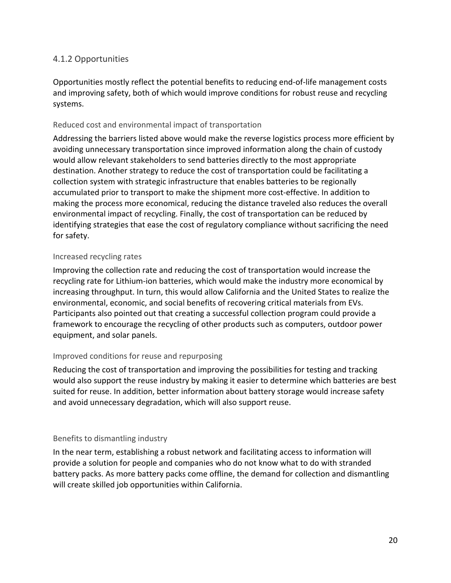#### <span id="page-24-0"></span>4.1.2 Opportunities

Opportunities mostly reflect the potential benefits to reducing end-of-life management costs and improving safety, both of which would improve conditions for robust reuse and recycling systems.

#### Reduced cost and environmental impact of transportation

Addressing the barriers listed above would make the reverse logistics process more efficient by avoiding unnecessary transportation since improved information along the chain of custody would allow relevant stakeholders to send batteries directly to the most appropriate destination. Another strategy to reduce the cost of transportation could be facilitating a collection system with strategic infrastructure that enables batteries to be regionally accumulated prior to transport to make the shipment more cost-effective. In addition to making the process more economical, reducing the distance traveled also reduces the overall environmental impact of recycling. Finally, the cost of transportation can be reduced by identifying strategies that ease the cost of regulatory compliance without sacrificing the need for safety.

#### Increased recycling rates

Improving the collection rate and reducing the cost of transportation would increase the recycling rate for Lithium-ion batteries, which would make the industry more economical by increasing throughput. In turn, this would allow California and the United States to realize the environmental, economic, and social benefits of recovering critical materials from EVs. Participants also pointed out that creating a successful collection program could provide a framework to encourage the recycling of other products such as computers, outdoor power equipment, and solar panels.

#### Improved conditions for reuse and repurposing

Reducing the cost of transportation and improving the possibilities for testing and tracking would also support the reuse industry by making it easier to determine which batteries are best suited for reuse. In addition, better information about battery storage would increase safety and avoid unnecessary degradation, which will also support reuse.

#### Benefits to dismantling industry

In the near term, establishing a robust network and facilitating access to information will provide a solution for people and companies who do not know what to do with stranded battery packs. As more battery packs come offline, the demand for collection and dismantling will create skilled job opportunities within California.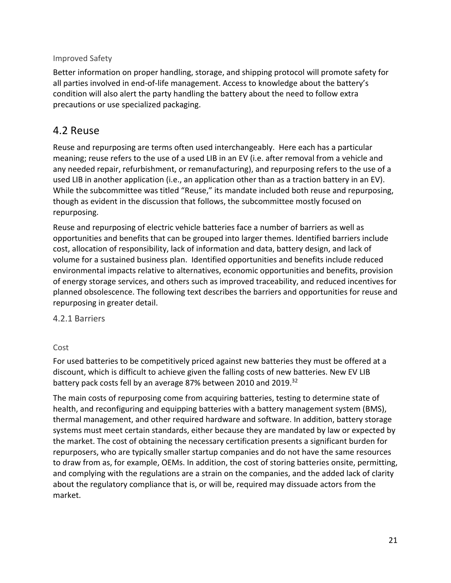#### Improved Safety

Better information on proper handling, storage, and shipping protocol will promote safety for all parties involved in end-of-life management. Access to knowledge about the battery's condition will also alert the party handling the battery about the need to follow extra precautions or use specialized packaging.

### <span id="page-25-0"></span>4.2 Reuse

Reuse and repurposing are terms often used interchangeably. Here each has a particular meaning; reuse refers to the use of a used LIB in an EV (i.e. after removal from a vehicle and any needed repair, refurbishment, or remanufacturing), and repurposing refers to the use of a used LIB in another application (i.e., an application other than as a traction battery in an EV). While the subcommittee was titled "Reuse," its mandate included both reuse and repurposing, though as evident in the discussion that follows, the subcommittee mostly focused on repurposing.

Reuse and repurposing of electric vehicle batteries face a number of barriers as well as opportunities and benefits that can be grouped into larger themes. Identified barriers include cost, allocation of responsibility, lack of information and data, battery design, and lack of volume for a sustained business plan. Identified opportunities and benefits include reduced environmental impacts relative to alternatives, economic opportunities and benefits, provision of energy storage services, and others such as improved traceability, and reduced incentives for planned obsolescence. The following text describes the barriers and opportunities for reuse and repurposing in greater detail.

<span id="page-25-1"></span>4.2.1 Barriers

#### Cost

For used batteries to be competitively priced against new batteries they must be offered at a discount, which is difficult to achieve given the falling costs of new batteries. New EV LIB battery pack costs fell by an average 87% between 2010 and 2019.<sup>32</sup>

The main costs of repurposing come from acquiring batteries, testing to determine state of health, and reconfiguring and equipping batteries with a battery management system (BMS), thermal management, and other required hardware and software. In addition, battery storage systems must meet certain standards, either because they are mandated by law or expected by the market. The cost of obtaining the necessary certification presents a significant burden for repurposers, who are typically smaller startup companies and do not have the same resources to draw from as, for example, OEMs. In addition, the cost of storing batteries onsite, permitting, and complying with the regulations are a strain on the companies, and the added lack of clarity about the regulatory compliance that is, or will be, required may dissuade actors from the market.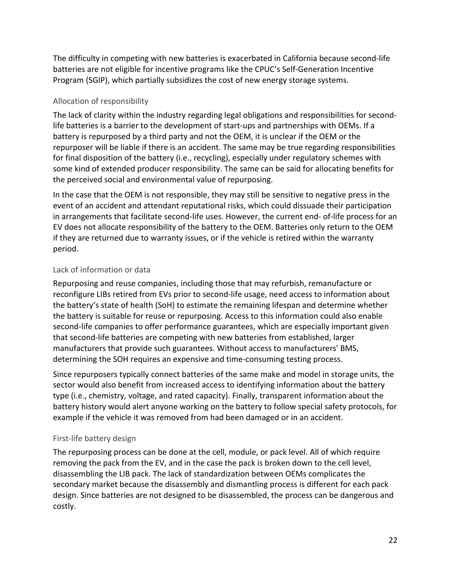The difficulty in competing with new batteries is exacerbated in California because second-life batteries are not eligible for incentive programs like the CPUC's Self-Generation Incentive Program (SGIP), which partially subsidizes the cost of new energy storage systems.

#### Allocation of responsibility

The lack of clarity within the industry regarding legal obligations and responsibilities for secondlife batteries is a barrier to the development of start-ups and partnerships with OEMs. If a battery is repurposed by a third party and not the OEM, it is unclear if the OEM or the repurposer will be liable if there is an accident. The same may be true regarding responsibilities for final disposition of the battery (i.e., recycling), especially under regulatory schemes with some kind of extended producer responsibility. The same can be said for allocating benefits for the perceived social and environmental value of repurposing.

In the case that the OEM is not responsible, they may still be sensitive to negative press in the event of an accident and attendant reputational risks, which could dissuade their participation in arrangements that facilitate second-life uses. However, the current end- of-life process for an EV does not allocate responsibility of the battery to the OEM. Batteries only return to the OEM if they are returned due to warranty issues, or if the vehicle is retired within the warranty period.

#### Lack of information or data

Repurposing and reuse companies, including those that may refurbish, remanufacture or reconfigure LIBs retired from EVs prior to second-life usage, need access to information about the battery's state of health (SoH) to estimate the remaining lifespan and determine whether the battery is suitable for reuse or repurposing. Access to this information could also enable second-life companies to offer performance guarantees, which are especially important given that second-life batteries are competing with new batteries from established, larger manufacturers that provide such guarantees. Without access to manufacturers' BMS, determining the SOH requires an expensive and time-consuming testing process.

Since repurposers typically connect batteries of the same make and model in storage units, the sector would also benefit from increased access to identifying information about the battery type (i.e., chemistry, voltage, and rated capacity). Finally, transparent information about the battery history would alert anyone working on the battery to follow special safety protocols, for example if the vehicle it was removed from had been damaged or in an accident.

#### First-life battery design

The repurposing process can be done at the cell, module, or pack level. All of which require removing the pack from the EV, and in the case the pack is broken down to the cell level, disassembling the LIB pack. The lack of standardization between OEMs complicates the secondary market because the disassembly and dismantling process is different for each pack design. Since batteries are not designed to be disassembled, the process can be dangerous and costly.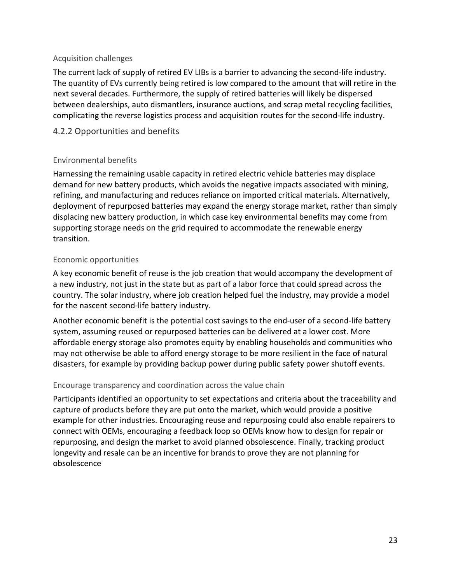#### Acquisition challenges

The current lack of supply of retired EV LIBs is a barrier to advancing the second-life industry. The quantity of EVs currently being retired is low compared to the amount that will retire in the next several decades. Furthermore, the supply of retired batteries will likely be dispersed between dealerships, auto dismantlers, insurance auctions, and scrap metal recycling facilities, complicating the reverse logistics process and acquisition routes for the second-life industry.

#### <span id="page-27-0"></span>4.2.2 Opportunities and benefits

#### Environmental benefits

Harnessing the remaining usable capacity in retired electric vehicle batteries may displace demand for new battery products, which avoids the negative impacts associated with mining, refining, and manufacturing and reduces reliance on imported critical materials. Alternatively, deployment of repurposed batteries may expand the energy storage market, rather than simply displacing new battery production, in which case key environmental benefits may come from supporting storage needs on the grid required to accommodate the renewable energy transition.

#### Economic opportunities

A key economic benefit of reuse is the job creation that would accompany the development of a new industry, not just in the state but as part of a labor force that could spread across the country. The solar industry, where job creation helped fuel the industry, may provide a model for the nascent second-life battery industry.

Another economic benefit is the potential cost savings to the end-user of a second-life battery system, assuming reused or repurposed batteries can be delivered at a lower cost. More affordable energy storage also promotes equity by enabling households and communities who may not otherwise be able to afford energy storage to be more resilient in the face of natural disasters, for example by providing backup power during public safety power shutoff events.

#### Encourage transparency and coordination across the value chain

Participants identified an opportunity to set expectations and criteria about the traceability and capture of products before they are put onto the market, which would provide a positive example for other industries. Encouraging reuse and repurposing could also enable repairers to connect with OEMs, encouraging a feedback loop so OEMs know how to design for repair or repurposing, and design the market to avoid planned obsolescence. Finally, tracking product longevity and resale can be an incentive for brands to prove they are not planning for obsolescence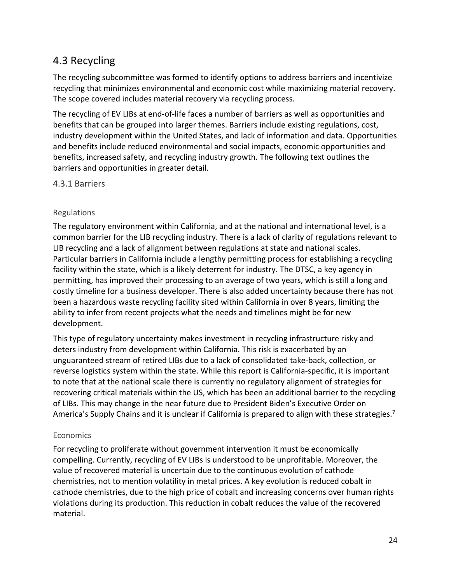## <span id="page-28-0"></span>4.3 Recycling

The recycling subcommittee was formed to identify options to address barriers and incentivize recycling that minimizes environmental and economic cost while maximizing material recovery. The scope covered includes material recovery via recycling process.

The recycling of EV LIBs at end-of-life faces a number of barriers as well as opportunities and benefits that can be grouped into larger themes. Barriers include existing regulations, cost, industry development within the United States, and lack of information and data. Opportunities and benefits include reduced environmental and social impacts, economic opportunities and benefits, increased safety, and recycling industry growth. The following text outlines the barriers and opportunities in greater detail.

<span id="page-28-1"></span>4.3.1 Barriers

#### Regulations

The regulatory environment within California, and at the national and international level, is a common barrier for the LIB recycling industry. There is a lack of clarity of regulations relevant to LIB recycling and a lack of alignment between regulations at state and national scales. Particular barriers in California include a lengthy permitting process for establishing a recycling facility within the state, which is a likely deterrent for industry. The DTSC, a key agency in permitting, has improved their processing to an average of two years, which is still a long and costly timeline for a business developer. There is also added uncertainty because there has not been a hazardous waste recycling facility sited within California in over 8 years, limiting the ability to infer from recent projects what the needs and timelines might be for new development.

This type of regulatory uncertainty makes investment in recycling infrastructure risky and deters industry from development within California. This risk is exacerbated by an unguaranteed stream of retired LIBs due to a lack of consolidated take-back, collection, or reverse logistics system within the state. While this report is California-specific, it is important to note that at the national scale there is currently no regulatory alignment of strategies for recovering critical materials within the US, which has been an additional barrier to the recycling of LIBs. This may change in the near future due to President Biden's Executive Order on America's Supply Chains and it is unclear if California is prepared to align with these strategies.<sup>7</sup>

#### Economics

For recycling to proliferate without government intervention it must be economically compelling. Currently, recycling of EV LIBs is understood to be unprofitable. Moreover, the value of recovered material is uncertain due to the continuous evolution of cathode chemistries, not to mention volatility in metal prices. A key evolution is reduced cobalt in cathode chemistries, due to the high price of cobalt and increasing concerns over human rights violations during its production. This reduction in cobalt reduces the value of the recovered material.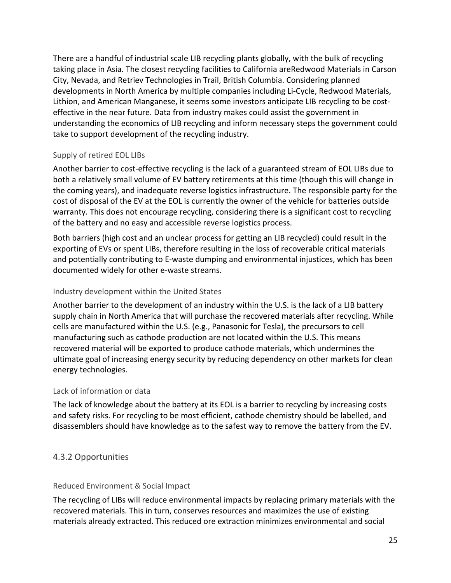There are a handful of industrial scale LIB recycling plants globally, with the bulk of recycling taking place in Asia. The closest recycling facilities to California areRedwood Materials in Carson City, Nevada, and Retriev Technologies in Trail, British Columbia. Considering planned developments in North America by multiple companies including Li-Cycle, Redwood Materials, Lithion, and American Manganese, it seems some investors anticipate LIB recycling to be costeffective in the near future. Data from industry makes could assist the government in understanding the economics of LIB recycling and inform necessary steps the government could take to support development of the recycling industry.

#### Supply of retired EOL LIBs

Another barrier to cost-effective recycling is the lack of a guaranteed stream of EOL LIBs due to both a relatively small volume of EV battery retirements at this time (though this will change in the coming years), and inadequate reverse logistics infrastructure. The responsible party for the cost of disposal of the EV at the EOL is currently the owner of the vehicle for batteries outside warranty. This does not encourage recycling, considering there is a significant cost to recycling of the battery and no easy and accessible reverse logistics process.

Both barriers (high cost and an unclear process for getting an LIB recycled) could result in the exporting of EVs or spent LIBs, therefore resulting in the loss of recoverable critical materials and potentially contributing to E-waste dumping and environmental injustices, which has been documented widely for other e-waste streams.

#### Industry development within the United States

Another barrier to the development of an industry within the U.S. is the lack of a LIB battery supply chain in North America that will purchase the recovered materials after recycling. While cells are manufactured within the U.S. (e.g., Panasonic for Tesla), the precursors to cell manufacturing such as cathode production are not located within the U.S. This means recovered material will be exported to produce cathode materials, which undermines the ultimate goal of increasing energy security by reducing dependency on other markets for clean energy technologies.

#### Lack of information or data

The lack of knowledge about the battery at its EOL is a barrier to recycling by increasing costs and safety risks. For recycling to be most efficient, cathode chemistry should be labelled, and disassemblers should have knowledge as to the safest way to remove the battery from the EV.

#### <span id="page-29-0"></span>4.3.2 Opportunities

#### Reduced Environment & Social Impact

The recycling of LIBs will reduce environmental impacts by replacing primary materials with the recovered materials. This in turn, conserves resources and maximizes the use of existing materials already extracted. This reduced ore extraction minimizes environmental and social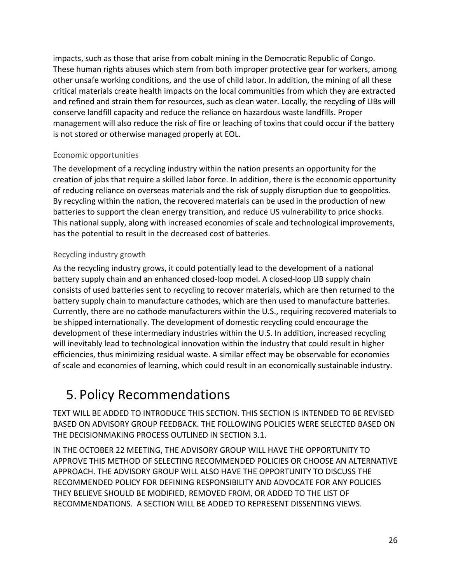impacts, such as those that arise from cobalt mining in the Democratic Republic of Congo. These human rights abuses which stem from both improper protective gear for workers, among other unsafe working conditions, and the use of child labor. In addition, the mining of all these critical materials create health impacts on the local communities from which they are extracted and refined and strain them for resources, such as clean water. Locally, the recycling of LIBs will conserve landfill capacity and reduce the reliance on hazardous waste landfills. Proper management will also reduce the risk of fire or leaching of toxins that could occur if the battery is not stored or otherwise managed properly at EOL.

#### Economic opportunities

The development of a recycling industry within the nation presents an opportunity for the creation of jobs that require a skilled labor force. In addition, there is the economic opportunity of reducing reliance on overseas materials and the risk of supply disruption due to geopolitics. By recycling within the nation, the recovered materials can be used in the production of new batteries to support the clean energy transition, and reduce US vulnerability to price shocks. This national supply, along with increased economies of scale and technological improvements, has the potential to result in the decreased cost of batteries.

#### Recycling industry growth

As the recycling industry grows, it could potentially lead to the development of a national battery supply chain and an enhanced closed-loop model. A closed-loop LIB supply chain consists of used batteries sent to recycling to recover materials, which are then returned to the battery supply chain to manufacture cathodes, which are then used to manufacture batteries. Currently, there are no cathode manufacturers within the U.S., requiring recovered materials to be shipped internationally. The development of domestic recycling could encourage the development of these intermediary industries within the U.S. In addition, increased recycling will inevitably lead to technological innovation within the industry that could result in higher efficiencies, thus minimizing residual waste. A similar effect may be observable for economies of scale and economies of learning, which could result in an economically sustainable industry.

## <span id="page-30-0"></span>5. Policy Recommendations

TEXT WILL BE ADDED TO INTRODUCE THIS SECTION. THIS SECTION IS INTENDED TO BE REVISED BASED ON ADVISORY GROUP FEEDBACK. THE FOLLOWING POLICIES WERE SELECTED BASED ON THE DECISIONMAKING PROCESS OUTLINED IN SECTION 3.1.

IN THE OCTOBER 22 MEETING, THE ADVISORY GROUP WILL HAVE THE OPPORTUNITY TO APPROVE THIS METHOD OF SELECTING RECOMMENDED POLICIES OR CHOOSE AN ALTERNATIVE APPROACH. THE ADVISORY GROUP WILL ALSO HAVE THE OPPORTUNITY TO DISCUSS THE RECOMMENDED POLICY FOR DEFINING RESPONSIBILITY AND ADVOCATE FOR ANY POLICIES THEY BELIEVE SHOULD BE MODIFIED, REMOVED FROM, OR ADDED TO THE LIST OF RECOMMENDATIONS. A SECTION WILL BE ADDED TO REPRESENT DISSENTING VIEWS.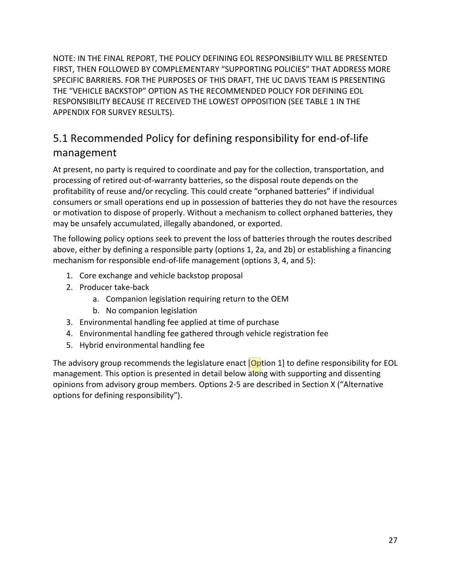NOTE: IN THE FINAL REPORT, THE POLICY DEFINING EOL RESPONSIBILITY WILL BE PRESENTED FIRST, THEN FOLLOWED BY COMPLEMENTARY "SUPPORTING POLICIES" THAT ADDRESS MORE SPECIFIC BARRIERS. FOR THE PURPOSES OF THIS DRAFT, THE UC DAVIS TEAM IS PRESENTING THE "VEHICLE BACKSTOP" OPTION AS THE RECOMMENDED POLICY FOR DEFINING EOL RESPONSIBILITY BECAUSE IT RECEIVED THE LOWEST OPPOSITION (SEE TABLE 1 IN THE APPENDIX FOR SURVEY RESULTS).

## <span id="page-31-0"></span>5.1 Recommended Policy for defining responsibility for end-of-life management

At present, no party is required to coordinate and pay for the collection, transportation, and processing of retired out-of-warranty batteries, so the disposal route depends on the profitability of reuse and/or recycling. This could create "orphaned batteries" if individual consumers or small operations end up in possession of batteries they do not have the resources or motivation to dispose of properly. Without a mechanism to collect orphaned batteries, they may be unsafely accumulated, illegally abandoned, or exported.

The following policy options seek to prevent the loss of batteries through the routes described above, either by defining a responsible party (options 1, 2a, and 2b) or establishing a financing mechanism for responsible end-of-life management (options 3, 4, and 5):

- 1. Core exchange and vehicle backstop proposal
- 2. Producer take-back
	- a. Companion legislation requiring return to the OEM
	- b. No companion legislation
- 3. Environmental handling fee applied at time of purchase
- 4. Environmental handling fee gathered through vehicle registration fee
- 5. Hybrid environmental handling fee

The advisory group recommends the legislature enact  $\Box$  poption 1 to define responsibility for EOL management. This option is presented in detail below along with supporting and dissenting opinions from advisory group members. Options 2-5 are described in Section X ("Alternative options for defining responsibility").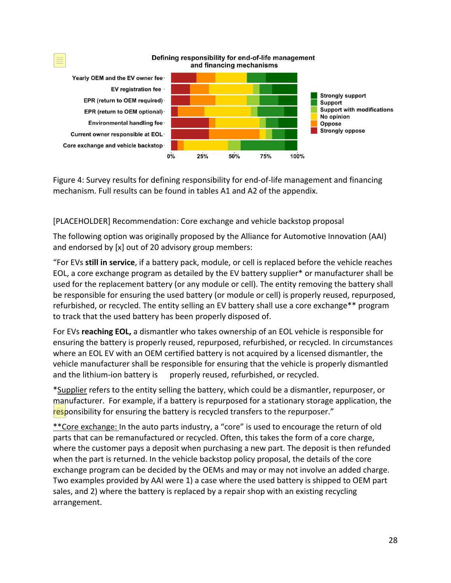

Figure 4: Survey results for defining responsibility for end-of-life management and financing mechanism. Full results can be found in tables A1 and A2 of the appendix.

[PLACEHOLDER] Recommendation: Core exchange and vehicle backstop proposal

The following option was originally proposed by the Alliance for Automotive Innovation (AAI) and endorsed by [x] out of 20 advisory group members:

"For EVs **still in service**, if a battery pack, module, or cell is replaced before the vehicle reaches EOL, a core exchange program as detailed by the EV battery supplier\* or manufacturer shall be used for the replacement battery (or any module or cell). The entity removing the battery shall be responsible for ensuring the used battery (or module or cell) is properly reused, repurposed, refurbished, or recycled. The entity selling an EV battery shall use a core exchange\*\* program to track that the used battery has been properly disposed of.

For EVs **reaching EOL,** a dismantler who takes ownership of an EOL vehicle is responsible for ensuring the battery is properly reused, repurposed, refurbished, or recycled. In circumstances where an EOL EV with an OEM certified battery is not acquired by a licensed dismantler, the vehicle manufacturer shall be responsible for ensuring that the vehicle is properly dismantled and the lithium-ion battery is properly reused, refurbished, or recycled.

\*Supplier refers to the entity selling the battery, which could be a dismantler, repurposer, or manufacturer. For example, if a battery is repurposed for a stationary storage application, the responsibility for ensuring the battery is recycled transfers to the repurposer."

\*\*Core exchange: In the auto parts industry, a "core" is used to encourage the return of old parts that can be remanufactured or recycled. Often, this takes the form of a core charge, where the customer pays a deposit when purchasing a new part. The deposit is then refunded when the part is returned. In the vehicle backstop policy proposal, the details of the core exchange program can be decided by the OEMs and may or may not involve an added charge. Two examples provided by AAI were 1) a case where the used battery is shipped to OEM part sales, and 2) where the battery is replaced by a repair shop with an existing recycling arrangement.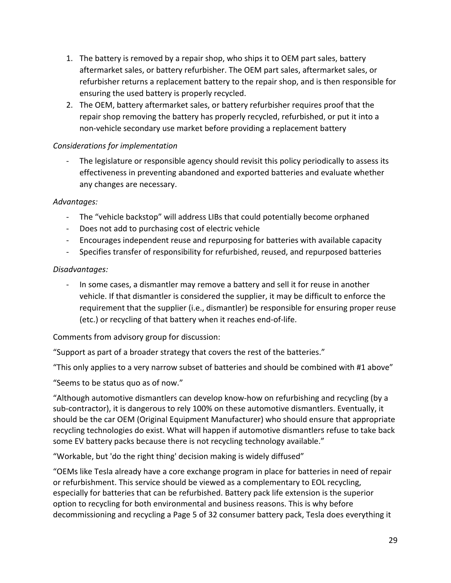- 1. The battery is removed by a repair shop, who ships it to OEM part sales, battery aftermarket sales, or battery refurbisher. The OEM part sales, aftermarket sales, or refurbisher returns a replacement battery to the repair shop, and is then responsible for ensuring the used battery is properly recycled.
- 2. The OEM, battery aftermarket sales, or battery refurbisher requires proof that the repair shop removing the battery has properly recycled, refurbished, or put it into a non-vehicle secondary use market before providing a replacement battery

#### *Considerations for implementation*

The legislature or responsible agency should revisit this policy periodically to assess its effectiveness in preventing abandoned and exported batteries and evaluate whether any changes are necessary.

#### *Advantages:*

- The "vehicle backstop" will address LIBs that could potentially become orphaned
- Does not add to purchasing cost of electric vehicle
- Encourages independent reuse and repurposing for batteries with available capacity
- Specifies transfer of responsibility for refurbished, reused, and repurposed batteries

#### *Disadvantages:*

- In some cases, a dismantler may remove a battery and sell it for reuse in another vehicle. If that dismantler is considered the supplier, it may be difficult to enforce the requirement that the supplier (i.e., dismantler) be responsible for ensuring proper reuse (etc.) or recycling of that battery when it reaches end-of-life.

Comments from advisory group for discussion:

"Support as part of a broader strategy that covers the rest of the batteries."

"This only applies to a very narrow subset of batteries and should be combined with #1 above"

"Seems to be status quo as of now."

"Although automotive dismantlers can develop know-how on refurbishing and recycling (by a sub-contractor), it is dangerous to rely 100% on these automotive dismantlers. Eventually, it should be the car OEM (Original Equipment Manufacturer) who should ensure that appropriate recycling technologies do exist. What will happen if automotive dismantlers refuse to take back some EV battery packs because there is not recycling technology available."

"Workable, but 'do the right thing' decision making is widely diffused"

"OEMs like Tesla already have a core exchange program in place for batteries in need of repair or refurbishment. This service should be viewed as a complementary to EOL recycling, especially for batteries that can be refurbished. Battery pack life extension is the superior option to recycling for both environmental and business reasons. This is why before decommissioning and recycling a Page 5 of 32 consumer battery pack, Tesla does everything it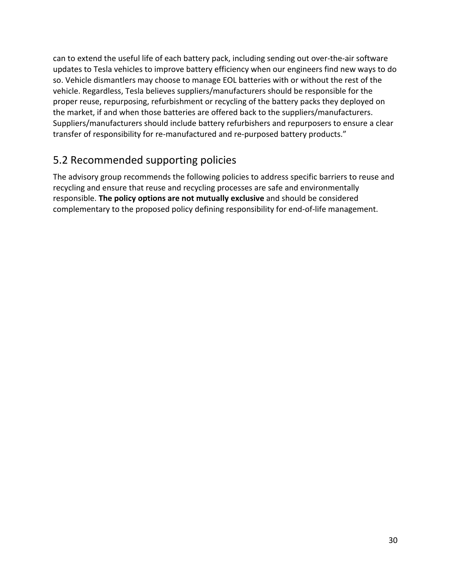can to extend the useful life of each battery pack, including sending out over-the-air software updates to Tesla vehicles to improve battery efficiency when our engineers find new ways to do so. Vehicle dismantlers may choose to manage EOL batteries with or without the rest of the vehicle. Regardless, Tesla believes suppliers/manufacturers should be responsible for the proper reuse, repurposing, refurbishment or recycling of the battery packs they deployed on the market, if and when those batteries are offered back to the suppliers/manufacturers. Suppliers/manufacturers should include battery refurbishers and repurposers to ensure a clear transfer of responsibility for re-manufactured and re-purposed battery products."

## <span id="page-34-0"></span>5.2 Recommended supporting policies

The advisory group recommends the following policies to address specific barriers to reuse and recycling and ensure that reuse and recycling processes are safe and environmentally responsible. **The policy options are not mutually exclusive** and should be considered complementary to the proposed policy defining responsibility for end-of-life management.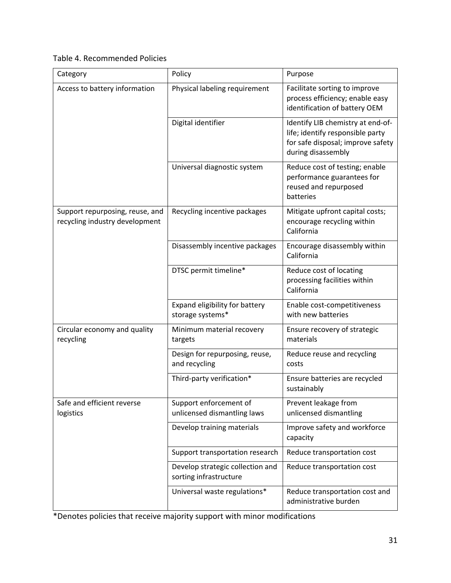#### Table 4. Recommended Policies

| Category                                                          | Policy                                                     | Purpose                                                                                                                          |  |  |
|-------------------------------------------------------------------|------------------------------------------------------------|----------------------------------------------------------------------------------------------------------------------------------|--|--|
| Access to battery information                                     | Physical labeling requirement                              | Facilitate sorting to improve<br>process efficiency; enable easy<br>identification of battery OEM                                |  |  |
|                                                                   | Digital identifier                                         | Identify LIB chemistry at end-of-<br>life; identify responsible party<br>for safe disposal; improve safety<br>during disassembly |  |  |
|                                                                   | Universal diagnostic system                                | Reduce cost of testing; enable<br>performance guarantees for<br>reused and repurposed<br>batteries                               |  |  |
| Support repurposing, reuse, and<br>recycling industry development | Recycling incentive packages                               | Mitigate upfront capital costs;<br>encourage recycling within<br>California                                                      |  |  |
|                                                                   | Disassembly incentive packages                             | Encourage disassembly within<br>California                                                                                       |  |  |
|                                                                   | DTSC permit timeline*                                      | Reduce cost of locating<br>processing facilities within<br>California                                                            |  |  |
|                                                                   | Expand eligibility for battery<br>storage systems*         | Enable cost-competitiveness<br>with new batteries                                                                                |  |  |
| Circular economy and quality<br>recycling                         | Minimum material recovery<br>targets                       | Ensure recovery of strategic<br>materials                                                                                        |  |  |
|                                                                   | Design for repurposing, reuse,<br>and recycling            | Reduce reuse and recycling<br>costs                                                                                              |  |  |
|                                                                   | Third-party verification*                                  | Ensure batteries are recycled<br>sustainably                                                                                     |  |  |
| Safe and efficient reverse<br>logistics                           | Support enforcement of<br>unlicensed dismantling laws      | Prevent leakage from<br>unlicensed dismantling                                                                                   |  |  |
|                                                                   | Develop training materials                                 | Improve safety and workforce<br>capacity                                                                                         |  |  |
|                                                                   | Support transportation research                            | Reduce transportation cost                                                                                                       |  |  |
|                                                                   | Develop strategic collection and<br>sorting infrastructure | Reduce transportation cost                                                                                                       |  |  |
|                                                                   | Universal waste regulations*                               | Reduce transportation cost and<br>administrative burden                                                                          |  |  |

\*Denotes policies that receive majority support with minor modifications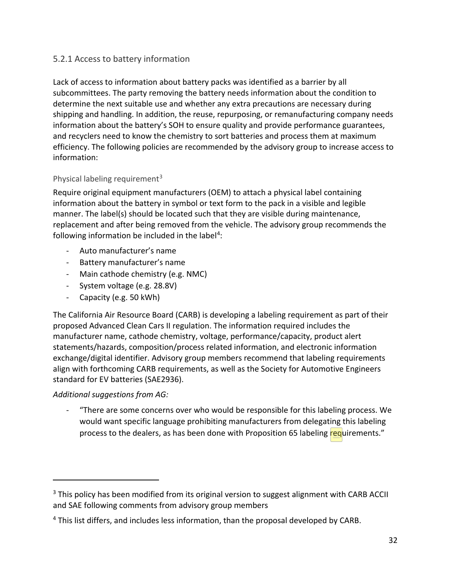#### <span id="page-36-0"></span>5.2.1 Access to battery information

Lack of access to information about battery packs was identified as a barrier by all subcommittees. The party removing the battery needs information about the condition to determine the next suitable use and whether any extra precautions are necessary during shipping and handling. In addition, the reuse, repurposing, or remanufacturing company needs information about the battery's SOH to ensure quality and provide performance guarantees, and recyclers need to know the chemistry to sort batteries and process them at maximum efficiency. The following policies are recommended by the advisory group to increase access to information:

#### Physical labeling requirement<sup>[3](#page-36-1)</sup>

Require original equipment manufacturers (OEM) to attach a physical label containing information about the battery in symbol or text form to the pack in a visible and legible manner. The label(s) should be located such that they are visible during maintenance, replacement and after being removed from the vehicle. The advisory group recommends the following information be included in the label<sup>[4](#page-36-2)</sup>:

- Auto manufacturer's name
- Battery manufacturer's name
- Main cathode chemistry (e.g. NMC)
- System voltage (e.g. 28.8V)
- Capacity (e.g. 50 kWh)

The California Air Resource Board (CARB) is developing a labeling requirement as part of their proposed Advanced Clean Cars II regulation. The information required includes the manufacturer name, cathode chemistry, voltage, performance/capacity, product alert statements/hazards, composition/process related information, and electronic information exchange/digital identifier. Advisory group members recommend that labeling requirements align with forthcoming CARB requirements, as well as the Society for Automotive Engineers standard for EV batteries (SAE2936).

#### *Additional suggestions from AG:*

"There are some concerns over who would be responsible for this labeling process. We would want specific language prohibiting manufacturers from delegating this labeling process to the dealers, as has been done with Proposition 65 labeling requirements."

<span id="page-36-1"></span><sup>&</sup>lt;sup>3</sup> This policy has been modified from its original version to suggest alignment with CARB ACCII and SAE following comments from advisory group members

<span id="page-36-2"></span><sup>4</sup> This list differs, and includes less information, than the proposal developed by CARB.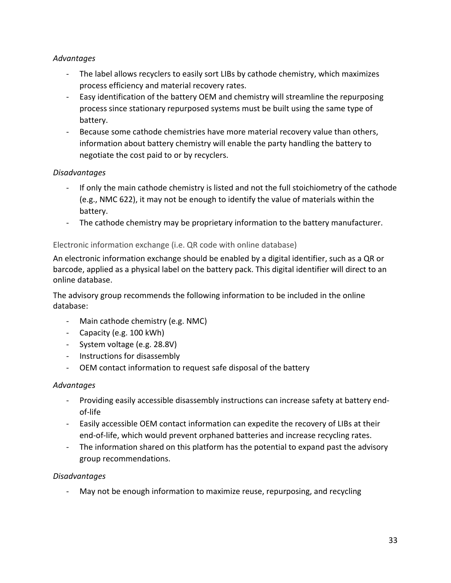#### *Advantages*

- The label allows recyclers to easily sort LIBs by cathode chemistry, which maximizes process efficiency and material recovery rates.
- Easy identification of the battery OEM and chemistry will streamline the repurposing process since stationary repurposed systems must be built using the same type of battery.
- Because some cathode chemistries have more material recovery value than others, information about battery chemistry will enable the party handling the battery to negotiate the cost paid to or by recyclers.

#### *Disadvantages*

- If only the main cathode chemistry is listed and not the full stoichiometry of the cathode (e.g., NMC 622), it may not be enough to identify the value of materials within the battery.
- The cathode chemistry may be proprietary information to the battery manufacturer.

#### Electronic information exchange (i.e. QR code with online database)

An electronic information exchange should be enabled by a digital identifier, such as a QR or barcode, applied as a physical label on the battery pack. This digital identifier will direct to an online database.

The advisory group recommends the following information to be included in the online database:

- Main cathode chemistry (e.g. NMC)
- Capacity (e.g. 100 kWh)
- System voltage (e.g. 28.8V)
- Instructions for disassembly
- OEM contact information to request safe disposal of the battery

#### *Advantages*

- Providing easily accessible disassembly instructions can increase safety at battery endof-life
- Easily accessible OEM contact information can expedite the recovery of LIBs at their end-of-life, which would prevent orphaned batteries and increase recycling rates.
- The information shared on this platform has the potential to expand past the advisory group recommendations.

#### *Disadvantages*

- May not be enough information to maximize reuse, repurposing, and recycling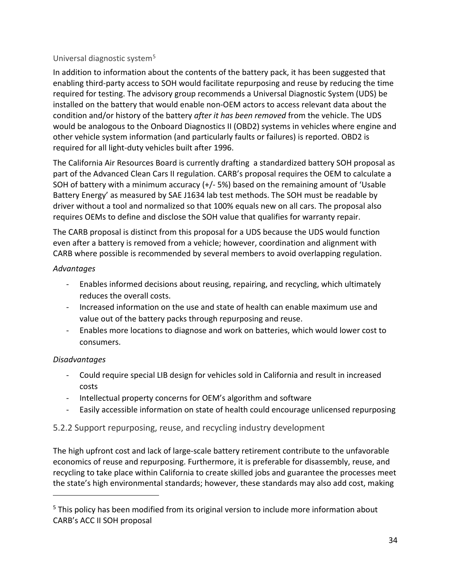#### Universal diagnostic system[5](#page-38-1)

In addition to information about the contents of the battery pack, it has been suggested that enabling third-party access to SOH would facilitate repurposing and reuse by reducing the time required for testing. The advisory group recommends a Universal Diagnostic System (UDS) be installed on the battery that would enable non-OEM actors to access relevant data about the condition and/or history of the battery *after it has been removed* from the vehicle. The UDS would be analogous to the Onboard Diagnostics II (OBD2) systems in vehicles where engine and other vehicle system information (and particularly faults or failures) is reported. OBD2 is required for all light-duty vehicles built after 1996.

The California Air Resources Board is currently drafting a standardized battery SOH proposal as part of the Advanced Clean Cars II regulation. CARB's proposal requires the OEM to calculate a SOH of battery with a minimum accuracy (+/- 5%) based on the remaining amount of 'Usable Battery Energy' as measured by SAE J1634 lab test methods. The SOH must be readable by driver without a tool and normalized so that 100% equals new on all cars. The proposal also requires OEMs to define and disclose the SOH value that qualifies for warranty repair.

The CARB proposal is distinct from this proposal for a UDS because the UDS would function even after a battery is removed from a vehicle; however, coordination and alignment with CARB where possible is recommended by several members to avoid overlapping regulation.

#### *Advantages*

- Enables informed decisions about reusing, repairing, and recycling, which ultimately reduces the overall costs.
- Increased information on the use and state of health can enable maximum use and value out of the battery packs through repurposing and reuse.
- Enables more locations to diagnose and work on batteries, which would lower cost to consumers.

#### *Disadvantages*

- Could require special LIB design for vehicles sold in California and result in increased costs
- Intellectual property concerns for OEM's algorithm and software
- Easily accessible information on state of health could encourage unlicensed repurposing

#### <span id="page-38-0"></span>5.2.2 Support repurposing, reuse, and recycling industry development

The high upfront cost and lack of large-scale battery retirement contribute to the unfavorable economics of reuse and repurposing. Furthermore, it is preferable for disassembly, reuse, and recycling to take place within California to create skilled jobs and guarantee the processes meet the state's high environmental standards; however, these standards may also add cost, making

<span id="page-38-1"></span><sup>&</sup>lt;sup>5</sup> This policy has been modified from its original version to include more information about CARB's ACC II SOH proposal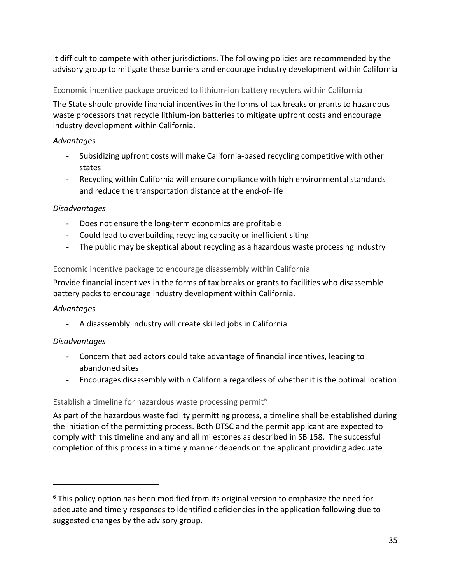it difficult to compete with other jurisdictions. The following policies are recommended by the advisory group to mitigate these barriers and encourage industry development within California

Economic incentive package provided to lithium-ion battery recyclers within California

The State should provide financial incentives in the forms of tax breaks or grants to hazardous waste processors that recycle lithium-ion batteries to mitigate upfront costs and encourage industry development within California.

#### *Advantages*

- Subsidizing upfront costs will make California-based recycling competitive with other states
- Recycling within California will ensure compliance with high environmental standards and reduce the transportation distance at the end-of-life

#### *Disadvantages*

- Does not ensure the long-term economics are profitable
- Could lead to overbuilding recycling capacity or inefficient siting
- The public may be skeptical about recycling as a hazardous waste processing industry

#### Economic incentive package to encourage disassembly within California

Provide financial incentives in the forms of tax breaks or grants to facilities who disassemble battery packs to encourage industry development within California.

#### *Advantages*

- A disassembly industry will create skilled jobs in California

#### *Disadvantages*

- Concern that bad actors could take advantage of financial incentives, leading to abandoned sites
- Encourages disassembly within California regardless of whether it is the optimal location

#### Establish a timeline for hazardous waste processing permit<sup>[6](#page-39-0)</sup>

As part of the hazardous waste facility permitting process, a timeline shall be established during the initiation of the permitting process. Both DTSC and the permit applicant are expected to comply with this timeline and any and all milestones as described in SB 158. The successful completion of this process in a timely manner depends on the applicant providing adequate

<span id="page-39-0"></span><sup>&</sup>lt;sup>6</sup> This policy option has been modified from its original version to emphasize the need for adequate and timely responses to identified deficiencies in the application following due to suggested changes by the advisory group.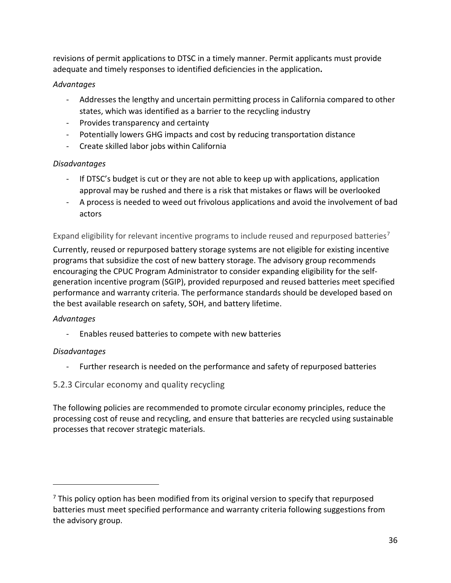revisions of permit applications to DTSC in a timely manner. Permit applicants must provide adequate and timely responses to identified deficiencies in the application**.**

#### *Advantages*

- Addresses the lengthy and uncertain permitting process in California compared to other states, which was identified as a barrier to the recycling industry
- Provides transparency and certainty
- Potentially lowers GHG impacts and cost by reducing transportation distance
- Create skilled labor jobs within California

#### *Disadvantages*

- If DTSC's budget is cut or they are not able to keep up with applications, application approval may be rushed and there is a risk that mistakes or flaws will be overlooked
- A process is needed to weed out frivolous applications and avoid the involvement of bad actors

Expand eligibility for relevant incentive programs to include reused and repurposed batteries<sup>[7](#page-40-1)</sup>

Currently, reused or repurposed battery storage systems are not eligible for existing incentive programs that subsidize the cost of new battery storage. The advisory group recommends encouraging the CPUC Program Administrator to consider expanding eligibility for the selfgeneration incentive program (SGIP), provided repurposed and reused batteries meet specified performance and warranty criteria. The performance standards should be developed based on the best available research on safety, SOH, and battery lifetime.

#### *Advantages*

- Enables reused batteries to compete with new batteries

#### *Disadvantages*

- Further research is needed on the performance and safety of repurposed batteries
- <span id="page-40-0"></span>5.2.3 Circular economy and quality recycling

The following policies are recommended to promote circular economy principles, reduce the processing cost of reuse and recycling, and ensure that batteries are recycled using sustainable processes that recover strategic materials.

<span id="page-40-1"></span> $<sup>7</sup>$  This policy option has been modified from its original version to specify that repurposed</sup> batteries must meet specified performance and warranty criteria following suggestions from the advisory group.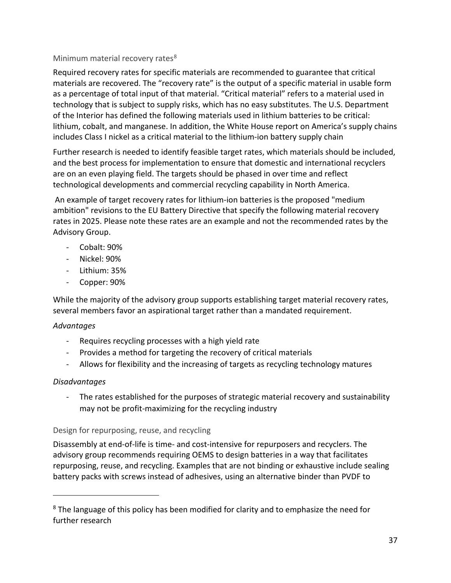#### Minimum material recovery rates $8$

Required recovery rates for specific materials are recommended to guarantee that critical materials are recovered. The "recovery rate" is the output of a specific material in usable form as a percentage of total input of that material. "Critical material" refers to a material used in technology that is subject to supply risks, which has no easy substitutes. The U.S. Department of the Interior has defined the following materials used in lithium batteries to be critical: lithium, cobalt, and manganese. In addition, the White House report on America's supply chains includes Class I nickel as a critical material to the lithium-ion battery supply chain

Further research is needed to identify feasible target rates, which materials should be included, and the best process for implementation to ensure that domestic and international recyclers are on an even playing field. The targets should be phased in over time and reflect technological developments and commercial recycling capability in North America.

An example of target recovery rates for lithium-ion batteries is the proposed "medium ambition" revisions to the EU Battery Directive that specify the following material recovery rates in 2025. Please note these rates are an example and not the recommended rates by the Advisory Group.

- Cobalt: 90%
- Nickel: 90%
- Lithium: 35%
- Copper: 90%

While the majority of the advisory group supports establishing target material recovery rates, several members favor an aspirational target rather than a mandated requirement.

#### *Advantages*

- Requires recycling processes with a high yield rate
- Provides a method for targeting the recovery of critical materials
- Allows for flexibility and the increasing of targets as recycling technology matures

#### *Disadvantages*

- The rates established for the purposes of strategic material recovery and sustainability may not be profit-maximizing for the recycling industry

#### Design for repurposing, reuse, and recycling

Disassembly at end-of-life is time- and cost-intensive for repurposers and recyclers. The advisory group recommends requiring OEMS to design batteries in a way that facilitates repurposing, reuse, and recycling. Examples that are not binding or exhaustive include sealing battery packs with screws instead of adhesives, using an alternative binder than PVDF to

<span id="page-41-0"></span><sup>&</sup>lt;sup>8</sup> The language of this policy has been modified for clarity and to emphasize the need for further research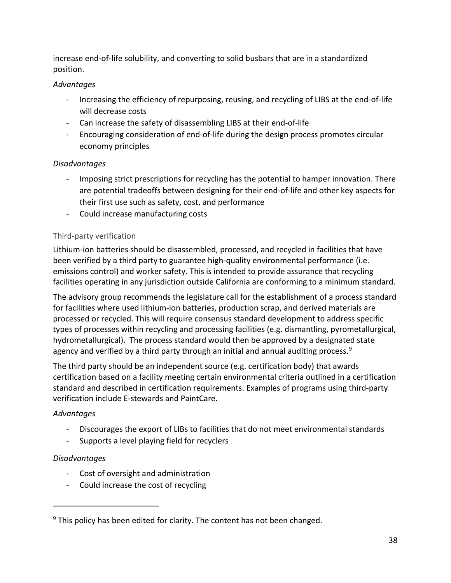increase end-of-life solubility, and converting to solid busbars that are in a standardized position.

#### *Advantages*

- Increasing the efficiency of repurposing, reusing, and recycling of LIBS at the end-of-life will decrease costs
- Can increase the safety of disassembling LIBS at their end-of-life
- Encouraging consideration of end-of-life during the design process promotes circular economy principles

#### *Disadvantages*

- Imposing strict prescriptions for recycling has the potential to hamper innovation. There are potential tradeoffs between designing for their end-of-life and other key aspects for their first use such as safety, cost, and performance
- Could increase manufacturing costs

#### Third-party verification

Lithium-ion batteries should be disassembled, processed, and recycled in facilities that have been verified by a third party to guarantee high-quality environmental performance (i.e. emissions control) and worker safety. This is intended to provide assurance that recycling facilities operating in any jurisdiction outside California are conforming to a minimum standard.

The advisory group recommends the legislature call for the establishment of a process standard for facilities where used lithium-ion batteries, production scrap, and derived materials are processed or recycled. This will require consensus standard development to address specific types of processes within recycling and processing facilities (e.g. dismantling, pyrometallurgical, hydrometallurgical). The process standard would then be approved by a designated state agency and verified by a third party through an initial and annual auditing process.<sup>[9](#page-42-0)</sup>

The third party should be an independent source (e.g. certification body) that awards certification based on a facility meeting certain environmental criteria outlined in a certification standard and described in certification requirements. Examples of programs using third-party verification include E-stewards and PaintCare.

#### *Advantages*

- Discourages the export of LIBs to facilities that do not meet environmental standards
- Supports a level playing field for recyclers

#### *Disadvantages*

- Cost of oversight and administration
- Could increase the cost of recycling

<span id="page-42-0"></span> $9$  This policy has been edited for clarity. The content has not been changed.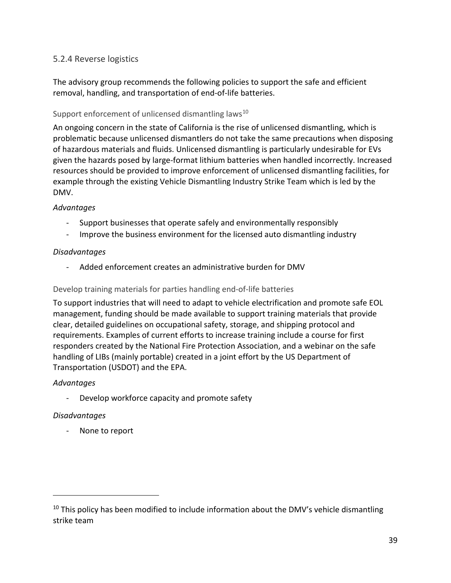#### <span id="page-43-0"></span>5.2.4 Reverse logistics

The advisory group recommends the following policies to support the safe and efficient removal, handling, and transportation of end-of-life batteries.

#### Support enforcement of unlicensed dismantling laws<sup>[10](#page-43-1)</sup>

An ongoing concern in the state of California is the rise of unlicensed dismantling, which is problematic because unlicensed dismantlers do not take the same precautions when disposing of hazardous materials and fluids. Unlicensed dismantling is particularly undesirable for EVs given the hazards posed by large-format lithium batteries when handled incorrectly. Increased resources should be provided to improve enforcement of unlicensed dismantling facilities, for example through the existing Vehicle Dismantling Industry Strike Team which is led by the DMV.

#### *Advantages*

- Support businesses that operate safely and environmentally responsibly
- Improve the business environment for the licensed auto dismantling industry

#### *Disadvantages*

Added enforcement creates an administrative burden for DMV

#### Develop training materials for parties handling end-of-life batteries

To support industries that will need to adapt to vehicle electrification and promote safe EOL management, funding should be made available to support training materials that provide clear, detailed guidelines on occupational safety, storage, and shipping protocol and requirements. Examples of current efforts to increase training include a course for first responders created by the National Fire Protection Association, and a webinar on the safe handling of LIBs (mainly portable) created in a joint effort by the US Department of Transportation (USDOT) and the EPA.

#### *Advantages*

- Develop workforce capacity and promote safety

#### *Disadvantages*

None to report

<span id="page-43-1"></span> $10$  This policy has been modified to include information about the DMV's vehicle dismantling strike team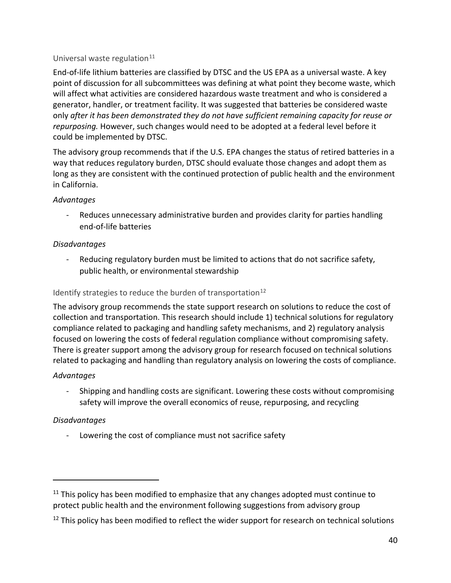#### Universal waste regulation $11$

End-of-life lithium batteries are classified by DTSC and the US EPA as a universal waste. A key point of discussion for all subcommittees was defining at what point they become waste, which will affect what activities are considered hazardous waste treatment and who is considered a generator, handler, or treatment facility. It was suggested that batteries be considered waste only *after it has been demonstrated they do not have sufficient remaining capacity for reuse or repurposing.* However, such changes would need to be adopted at a federal level before it could be implemented by DTSC.

The advisory group recommends that if the U.S. EPA changes the status of retired batteries in a way that reduces regulatory burden, DTSC should evaluate those changes and adopt them as long as they are consistent with the continued protection of public health and the environment in California.

#### *Advantages*

- Reduces unnecessary administrative burden and provides clarity for parties handling end-of-life batteries

#### *Disadvantages*

Reducing regulatory burden must be limited to actions that do not sacrifice safety, public health, or environmental stewardship

#### Identify strategies to reduce the burden of transportation $^{12}$  $^{12}$  $^{12}$

The advisory group recommends the state support research on solutions to reduce the cost of collection and transportation. This research should include 1) technical solutions for regulatory compliance related to packaging and handling safety mechanisms, and 2) regulatory analysis focused on lowering the costs of federal regulation compliance without compromising safety. There is greater support among the advisory group for research focused on technical solutions related to packaging and handling than regulatory analysis on lowering the costs of compliance.

#### *Advantages*

- Shipping and handling costs are significant. Lowering these costs without compromising safety will improve the overall economics of reuse, repurposing, and recycling

#### *Disadvantages*

- Lowering the cost of compliance must not sacrifice safety

<span id="page-44-0"></span> $11$  This policy has been modified to emphasize that any changes adopted must continue to protect public health and the environment following suggestions from advisory group

<span id="page-44-1"></span><sup>&</sup>lt;sup>12</sup> This policy has been modified to reflect the wider support for research on technical solutions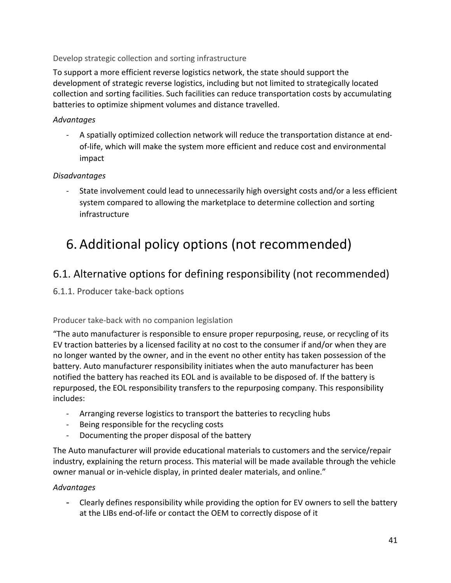#### Develop strategic collection and sorting infrastructure

To support a more efficient reverse logistics network, the state should support the development of strategic reverse logistics, including but not limited to strategically located collection and sorting facilities. Such facilities can reduce transportation costs by accumulating batteries to optimize shipment volumes and distance travelled.

#### *Advantages*

- A spatially optimized collection network will reduce the transportation distance at endof-life, which will make the system more efficient and reduce cost and environmental impact

#### *Disadvantages*

- State involvement could lead to unnecessarily high oversight costs and/or a less efficient system compared to allowing the marketplace to determine collection and sorting infrastructure

## <span id="page-45-0"></span>6.Additional policy options (not recommended)

### <span id="page-45-1"></span>6.1. Alternative options for defining responsibility (not recommended)

#### <span id="page-45-2"></span>6.1.1. Producer take-back options

#### Producer take-back with no companion legislation

"The auto manufacturer is responsible to ensure proper repurposing, reuse, or recycling of its EV traction batteries by a licensed facility at no cost to the consumer if and/or when they are no longer wanted by the owner, and in the event no other entity has taken possession of the battery. Auto manufacturer responsibility initiates when the auto manufacturer has been notified the battery has reached its EOL and is available to be disposed of. If the battery is repurposed, the EOL responsibility transfers to the repurposing company. This responsibility includes:

- Arranging reverse logistics to transport the batteries to recycling hubs
- Being responsible for the recycling costs
- Documenting the proper disposal of the battery

The Auto manufacturer will provide educational materials to customers and the service/repair industry, explaining the return process. This material will be made available through the vehicle owner manual or in-vehicle display, in printed dealer materials, and online."

#### *Advantages*

- Clearly defines responsibility while providing the option for EV owners to sell the battery at the LIBs end-of-life or contact the OEM to correctly dispose of it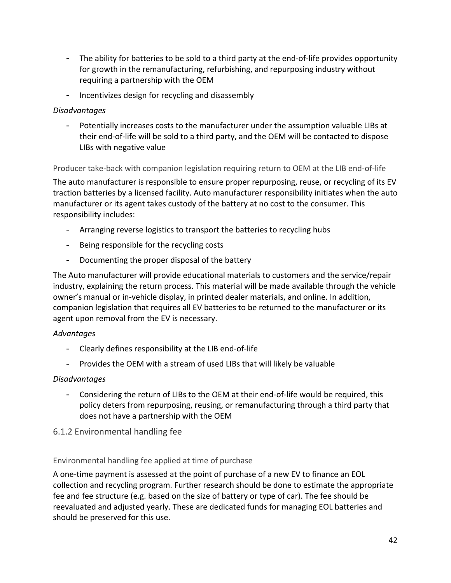- The ability for batteries to be sold to a third party at the end-of-life provides opportunity for growth in the remanufacturing, refurbishing, and repurposing industry without requiring a partnership with the OEM
- Incentivizes design for recycling and disassembly

#### *Disadvantages*

- Potentially increases costs to the manufacturer under the assumption valuable LIBs at their end-of-life will be sold to a third party, and the OEM will be contacted to dispose LIBs with negative value

Producer take-back with companion legislation requiring return to OEM at the LIB end-of-life

The auto manufacturer is responsible to ensure proper repurposing, reuse, or recycling of its EV traction batteries by a licensed facility. Auto manufacturer responsibility initiates when the auto manufacturer or its agent takes custody of the battery at no cost to the consumer. This responsibility includes:

- Arranging reverse logistics to transport the batteries to recycling hubs
- Being responsible for the recycling costs
- Documenting the proper disposal of the battery

The Auto manufacturer will provide educational materials to customers and the service/repair industry, explaining the return process. This material will be made available through the vehicle owner's manual or in-vehicle display, in printed dealer materials, and online. In addition, companion legislation that requires all EV batteries to be returned to the manufacturer or its agent upon removal from the EV is necessary.

#### *Advantages*

- Clearly defines responsibility at the LIB end-of-life
- Provides the OEM with a stream of used LIBs that will likely be valuable

#### *Disadvantages*

- Considering the return of LIBs to the OEM at their end-of-life would be required, this policy deters from repurposing, reusing, or remanufacturing through a third party that does not have a partnership with the OEM

#### <span id="page-46-0"></span>6.1.2 Environmental handling fee

#### Environmental handling fee applied at time of purchase

A one-time payment is assessed at the point of purchase of a new EV to finance an EOL collection and recycling program. Further research should be done to estimate the appropriate fee and fee structure (e.g. based on the size of battery or type of car). The fee should be reevaluated and adjusted yearly. These are dedicated funds for managing EOL batteries and should be preserved for this use.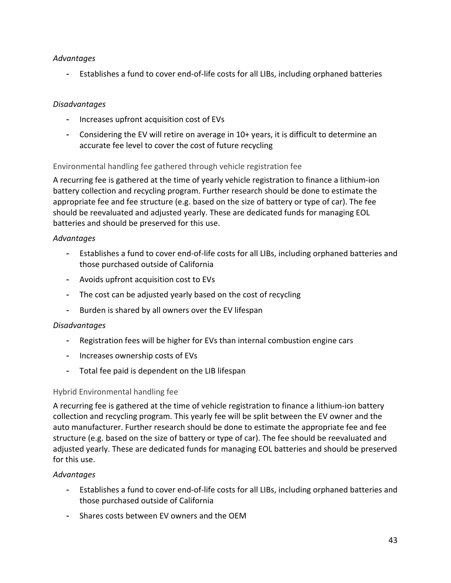#### *Advantages*

- Establishes a fund to cover end-of-life costs for all LIBs, including orphaned batteries

#### *Disadvantages*

- Increases upfront acquisition cost of EVs
- Considering the EV will retire on average in 10+ years, it is difficult to determine an accurate fee level to cover the cost of future recycling

#### Environmental handling fee gathered through vehicle registration fee

A recurring fee is gathered at the time of yearly vehicle registration to finance a lithium-ion battery collection and recycling program. Further research should be done to estimate the appropriate fee and fee structure (e.g. based on the size of battery or type of car). The fee should be reevaluated and adjusted yearly. These are dedicated funds for managing EOL batteries and should be preserved for this use.

#### *Advantages*

- Establishes a fund to cover end-of-life costs for all LIBs, including orphaned batteries and those purchased outside of California
- Avoids upfront acquisition cost to EVs
- The cost can be adjusted yearly based on the cost of recycling
- Burden is shared by all owners over the EV lifespan

#### *Disadvantages*

- Registration fees will be higher for EVs than internal combustion engine cars
- Increases ownership costs of EVs
- Total fee paid is dependent on the LIB lifespan

#### Hybrid Environmental handling fee

A recurring fee is gathered at the time of vehicle registration to finance a lithium-ion battery collection and recycling program. This yearly fee will be split between the EV owner and the auto manufacturer. Further research should be done to estimate the appropriate fee and fee structure (e.g. based on the size of battery or type of car). The fee should be reevaluated and adjusted yearly. These are dedicated funds for managing EOL batteries and should be preserved for this use.

#### *Advantages*

- Establishes a fund to cover end-of-life costs for all LIBs, including orphaned batteries and those purchased outside of California
- Shares costs between EV owners and the OEM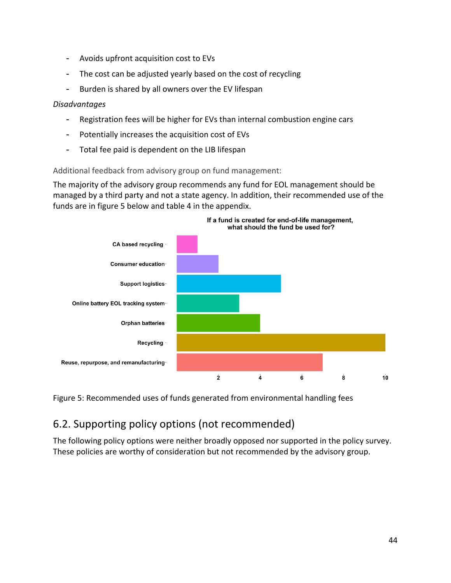- Avoids upfront acquisition cost to EVs
- The cost can be adjusted yearly based on the cost of recycling
- Burden is shared by all owners over the EV lifespan

#### *Disadvantages*

- Registration fees will be higher for EVs than internal combustion engine cars
- Potentially increases the acquisition cost of EVs
- Total fee paid is dependent on the LIB lifespan

#### Additional feedback from advisory group on fund management:

The majority of the advisory group recommends any fund for EOL management should be managed by a third party and not a state agency. In addition, their recommended use of the funds are in figure 5 below and table 4 in the appendix.



Figure 5: Recommended uses of funds generated from environmental handling fees

### <span id="page-48-0"></span>6.2. Supporting policy options (not recommended)

The following policy options were neither broadly opposed nor supported in the policy survey. These policies are worthy of consideration but not recommended by the advisory group.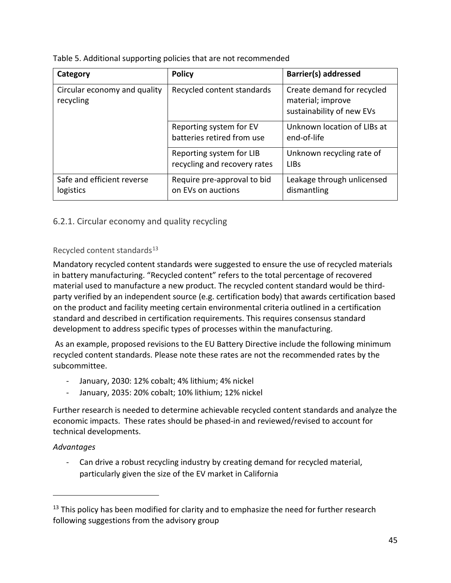| Category                                  | <b>Policy</b>                                            | Barrier(s) addressed                                                         |  |  |
|-------------------------------------------|----------------------------------------------------------|------------------------------------------------------------------------------|--|--|
| Circular economy and quality<br>recycling | Recycled content standards                               | Create demand for recycled<br>material; improve<br>sustainability of new EVs |  |  |
|                                           | Reporting system for EV<br>batteries retired from use    | Unknown location of LIBs at<br>end-of-life                                   |  |  |
|                                           | Reporting system for LIB<br>recycling and recovery rates | Unknown recycling rate of<br><b>LIBs</b>                                     |  |  |
| Safe and efficient reverse<br>logistics   | Require pre-approval to bid<br>on EVs on auctions        | Leakage through unlicensed<br>dismantling                                    |  |  |

#### <span id="page-49-0"></span>6.2.1. Circular economy and quality recycling

#### Recycled content standards $13$

Mandatory recycled content standards were suggested to ensure the use of recycled materials in battery manufacturing. "Recycled content" refers to the total percentage of recovered material used to manufacture a new product. The recycled content standard would be thirdparty verified by an independent source (e.g. certification body) that awards certification based on the product and facility meeting certain environmental criteria outlined in a certification standard and described in certification requirements. This requires consensus standard development to address specific types of processes within the manufacturing.

As an example, proposed revisions to the EU Battery Directive include the following minimum recycled content standards. Please note these rates are not the recommended rates by the subcommittee.

- January, 2030: 12% cobalt; 4% lithium; 4% nickel
- January, 2035: 20% cobalt; 10% lithium; 12% nickel

Further research is needed to determine achievable recycled content standards and analyze the economic impacts. These rates should be phased-in and reviewed/revised to account for technical developments.

#### *Advantages*

- Can drive a robust recycling industry by creating demand for recycled material, particularly given the size of the EV market in California

<span id="page-49-1"></span> $13$  This policy has been modified for clarity and to emphasize the need for further research following suggestions from the advisory group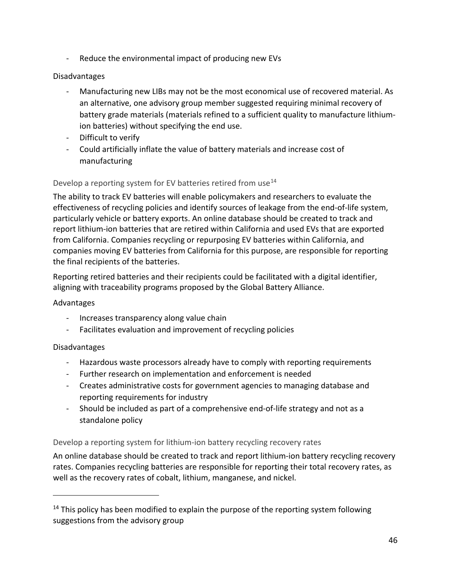- Reduce the environmental impact of producing new EVs

#### Disadvantages

- Manufacturing new LIBs may not be the most economical use of recovered material. As an alternative, one advisory group member suggested requiring minimal recovery of battery grade materials (materials refined to a sufficient quality to manufacture lithiumion batteries) without specifying the end use.
- Difficult to verify
- Could artificially inflate the value of battery materials and increase cost of manufacturing

#### Develop a reporting system for EV batteries retired from use<sup>14</sup>

The ability to track EV batteries will enable policymakers and researchers to evaluate the effectiveness of recycling policies and identify sources of leakage from the end-of-life system, particularly vehicle or battery exports. An online database should be created to track and report lithium-ion batteries that are retired within California and used EVs that are exported from California. Companies recycling or repurposing EV batteries within California, and companies moving EV batteries from California for this purpose, are responsible for reporting the final recipients of the batteries.

Reporting retired batteries and their recipients could be facilitated with a digital identifier, aligning with traceability programs proposed by the Global Battery Alliance.

#### Advantages

- Increases transparency along value chain
- Facilitates evaluation and improvement of recycling policies

#### Disadvantages

- Hazardous waste processors already have to comply with reporting requirements
- Further research on implementation and enforcement is needed
- Creates administrative costs for government agencies to managing database and reporting requirements for industry
- Should be included as part of a comprehensive end-of-life strategy and not as a standalone policy

#### Develop a reporting system for lithium-ion battery recycling recovery rates

An online database should be created to track and report lithium-ion battery recycling recovery rates. Companies recycling batteries are responsible for reporting their total recovery rates, as well as the recovery rates of cobalt, lithium, manganese, and nickel.

<span id="page-50-0"></span> $14$  This policy has been modified to explain the purpose of the reporting system following suggestions from the advisory group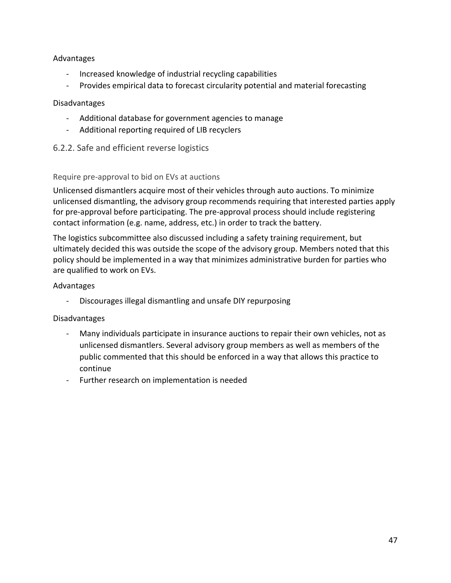#### Advantages

- Increased knowledge of industrial recycling capabilities
- Provides empirical data to forecast circularity potential and material forecasting

#### Disadvantages

- Additional database for government agencies to manage
- Additional reporting required of LIB recyclers
- <span id="page-51-0"></span>6.2.2. Safe and efficient reverse logistics

#### Require pre-approval to bid on EVs at auctions

Unlicensed dismantlers acquire most of their vehicles through auto auctions. To minimize unlicensed dismantling, the advisory group recommends requiring that interested parties apply for pre-approval before participating. The pre-approval process should include registering contact information (e.g. name, address, etc.) in order to track the battery.

The logistics subcommittee also discussed including a safety training requirement, but ultimately decided this was outside the scope of the advisory group. Members noted that this policy should be implemented in a way that minimizes administrative burden for parties who are qualified to work on EVs.

#### Advantages

Discourages illegal dismantling and unsafe DIY repurposing

#### Disadvantages

- Many individuals participate in insurance auctions to repair their own vehicles, not as unlicensed dismantlers. Several advisory group members as well as members of the public commented that this should be enforced in a way that allows this practice to continue
- Further research on implementation is needed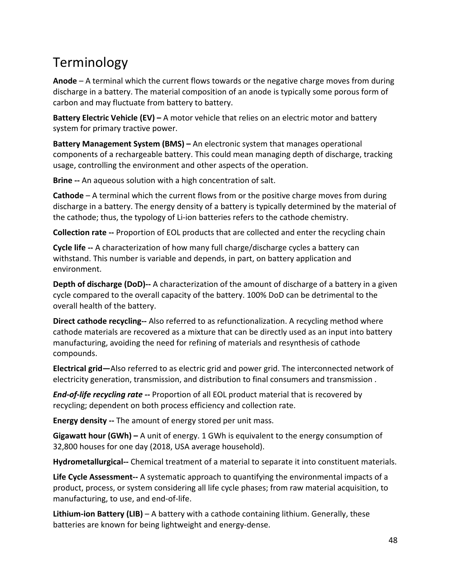## <span id="page-52-0"></span>Terminology

**Anode** – A terminal which the current flows towards or the negative charge moves from during discharge in a battery. The material composition of an anode is typically some porous form of carbon and may fluctuate from battery to battery.

**Battery Electric Vehicle (EV) –** A motor vehicle that relies on an electric motor and battery system for primary tractive power.

**Battery Management System (BMS) –** An electronic system that manages operational components of a rechargeable battery. This could mean managing depth of discharge, tracking usage, controlling the environment and other aspects of the operation.

**Brine --** An aqueous solution with a high concentration of salt.

**Cathode** – A terminal which the current flows from or the positive charge moves from during discharge in a battery. The energy density of a battery is typically determined by the material of the cathode; thus, the typology of Li-ion batteries refers to the cathode chemistry.

**Collection rate --** Proportion of EOL products that are collected and enter the recycling chain

**Cycle life --** A characterization of how many full charge/discharge cycles a battery can withstand. This number is variable and depends, in part, on battery application and environment.

**Depth of discharge (DoD)--** A characterization of the amount of discharge of a battery in a given cycle compared to the overall capacity of the battery. 100% DoD can be detrimental to the overall health of the battery.

**Direct cathode recycling--** Also referred to as refunctionalization. A recycling method where cathode materials are recovered as a mixture that can be directly used as an input into battery manufacturing, avoiding the need for refining of materials and resynthesis of cathode compounds.

**Electrical grid—**Also referred to as electric grid and power grid. The interconnected network of electricity generation, transmission, and distribution to final consumers and transmission .

*End-of-life recycling rate --* Proportion of all EOL product material that is recovered by recycling; dependent on both process efficiency and collection rate.

**Energy density --** The amount of energy stored per unit mass.

**Gigawatt hour (GWh) –** A unit of energy. 1 GWh is equivalent to the energy consumption of 32,800 houses for one day (2018, USA average household).

**Hydrometallurgical--** Chemical treatment of a material to separate it into constituent materials.

**Life Cycle Assessment--** A systematic approach to quantifying the environmental impacts of a product, process, or system considering all life cycle phases; from raw material acquisition, to manufacturing, to use, and end-of-life.

**Lithium-ion Battery (LIB)** – A battery with a cathode containing lithium. Generally, these batteries are known for being lightweight and energy-dense.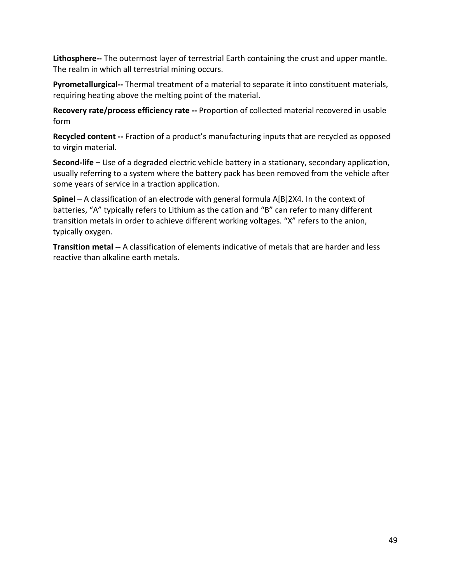**Lithosphere--** The outermost layer of terrestrial Earth containing the crust and upper mantle. The realm in which all terrestrial mining occurs.

**Pyrometallurgical--** Thermal treatment of a material to separate it into constituent materials, requiring heating above the melting point of the material.

**Recovery rate/process efficiency rate --** Proportion of collected material recovered in usable form

**Recycled content --** Fraction of a product's manufacturing inputs that are recycled as opposed to virgin material.

**Second-life –** Use of a degraded electric vehicle battery in a stationary, secondary application, usually referring to a system where the battery pack has been removed from the vehicle after some years of service in a traction application.

**Spinel** – A classification of an electrode with general formula A[B]2X4. In the context of batteries, "A" typically refers to Lithium as the cation and "B" can refer to many different transition metals in order to achieve different working voltages. "X" refers to the anion, typically oxygen.

**Transition metal --** A classification of elements indicative of metals that are harder and less reactive than alkaline earth metals.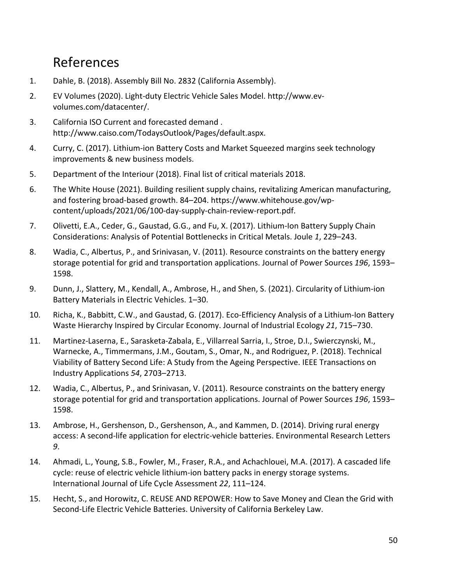## <span id="page-54-0"></span>References

- 1. Dahle, B. (2018). Assembly Bill No. 2832 (California Assembly).
- 2. EV Volumes (2020). Light-duty Electric Vehicle Sales Model. http://www.evvolumes.com/datacenter/.
- 3. California ISO Current and forecasted demand . http://www.caiso.com/TodaysOutlook/Pages/default.aspx.
- 4. Curry, C. (2017). Lithium-ion Battery Costs and Market Squeezed margins seek technology improvements & new business models.
- 5. Department of the Interiour (2018). Final list of critical materials 2018.
- 6. The White House (2021). Building resilient supply chains, revitalizing American manufacturing, and fostering broad-based growth. 84–204. https://www.whitehouse.gov/wpcontent/uploads/2021/06/100-day-supply-chain-review-report.pdf.
- 7. Olivetti, E.A., Ceder, G., Gaustad, G.G., and Fu, X. (2017). Lithium-Ion Battery Supply Chain Considerations: Analysis of Potential Bottlenecks in Critical Metals. Joule *1*, 229–243.
- 8. Wadia, C., Albertus, P., and Srinivasan, V. (2011). Resource constraints on the battery energy storage potential for grid and transportation applications. Journal of Power Sources *196*, 1593– 1598.
- 9. Dunn, J., Slattery, M., Kendall, A., Ambrose, H., and Shen, S. (2021). Circularity of Lithium-ion Battery Materials in Electric Vehicles. 1–30.
- 10. Richa, K., Babbitt, C.W., and Gaustad, G. (2017). Eco-Efficiency Analysis of a Lithium-Ion Battery Waste Hierarchy Inspired by Circular Economy. Journal of Industrial Ecology *21*, 715–730.
- 11. Martinez-Laserna, E., Sarasketa-Zabala, E., Villarreal Sarria, I., Stroe, D.I., Swierczynski, M., Warnecke, A., Timmermans, J.M., Goutam, S., Omar, N., and Rodriguez, P. (2018). Technical Viability of Battery Second Life: A Study from the Ageing Perspective. IEEE Transactions on Industry Applications *54*, 2703–2713.
- 12. Wadia, C., Albertus, P., and Srinivasan, V. (2011). Resource constraints on the battery energy storage potential for grid and transportation applications. Journal of Power Sources *196*, 1593– 1598.
- 13. Ambrose, H., Gershenson, D., Gershenson, A., and Kammen, D. (2014). Driving rural energy access: A second-life application for electric-vehicle batteries. Environmental Research Letters *9*.
- 14. Ahmadi, L., Young, S.B., Fowler, M., Fraser, R.A., and Achachlouei, M.A. (2017). A cascaded life cycle: reuse of electric vehicle lithium-ion battery packs in energy storage systems. International Journal of Life Cycle Assessment *22*, 111–124.
- 15. Hecht, S., and Horowitz, C. REUSE AND REPOWER: How to Save Money and Clean the Grid with Second-Life Electric Vehicle Batteries. University of California Berkeley Law.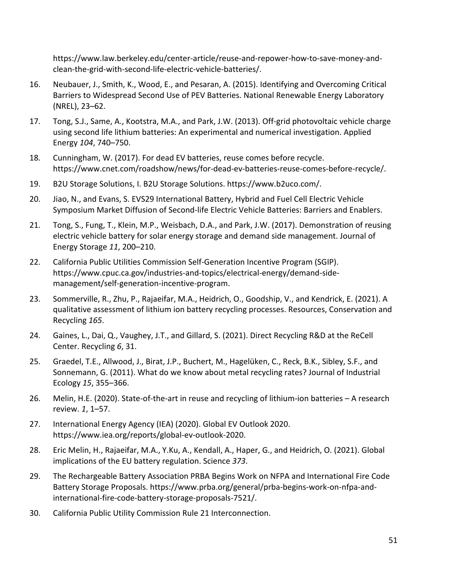https://www.law.berkeley.edu/center-article/reuse-and-repower-how-to-save-money-andclean-the-grid-with-second-life-electric-vehicle-batteries/.

- 16. Neubauer, J., Smith, K., Wood, E., and Pesaran, A. (2015). Identifying and Overcoming Critical Barriers to Widespread Second Use of PEV Batteries. National Renewable Energy Laboratory (NREL), 23–62.
- 17. Tong, S.J., Same, A., Kootstra, M.A., and Park, J.W. (2013). Off-grid photovoltaic vehicle charge using second life lithium batteries: An experimental and numerical investigation. Applied Energy *104*, 740–750.
- 18. Cunningham, W. (2017). For dead EV batteries, reuse comes before recycle. https://www.cnet.com/roadshow/news/for-dead-ev-batteries-reuse-comes-before-recycle/.
- 19. B2U Storage Solutions, I. B2U Storage Solutions. https://www.b2uco.com/.
- 20. Jiao, N., and Evans, S. EVS29 International Battery, Hybrid and Fuel Cell Electric Vehicle Symposium Market Diffusion of Second-life Electric Vehicle Batteries: Barriers and Enablers.
- 21. Tong, S., Fung, T., Klein, M.P., Weisbach, D.A., and Park, J.W. (2017). Demonstration of reusing electric vehicle battery for solar energy storage and demand side management. Journal of Energy Storage *11*, 200–210.
- 22. California Public Utilities Commission Self-Generation Incentive Program (SGIP). https://www.cpuc.ca.gov/industries-and-topics/electrical-energy/demand-sidemanagement/self-generation-incentive-program.
- 23. Sommerville, R., Zhu, P., Rajaeifar, M.A., Heidrich, O., Goodship, V., and Kendrick, E. (2021). A qualitative assessment of lithium ion battery recycling processes. Resources, Conservation and Recycling *165*.
- 24. Gaines, L., Dai, Q., Vaughey, J.T., and Gillard, S. (2021). Direct Recycling R&D at the ReCell Center. Recycling *6*, 31.
- 25. Graedel, T.E., Allwood, J., Birat, J.P., Buchert, M., Hagelüken, C., Reck, B.K., Sibley, S.F., and Sonnemann, G. (2011). What do we know about metal recycling rates? Journal of Industrial Ecology *15*, 355–366.
- 26. Melin, H.E. (2020). State-of-the-art in reuse and recycling of lithium-ion batteries A research review. *1*, 1–57.
- 27. International Energy Agency (IEA) (2020). Global EV Outlook 2020. https://www.iea.org/reports/global-ev-outlook-2020.
- 28. Eric Melin, H., Rajaeifar, M.A., Y.Ku, A., Kendall, A., Haper, G., and Heidrich, O. (2021). Global implications of the EU battery regulation. Science *373*.
- 29. The Rechargeable Battery Association PRBA Begins Work on NFPA and International Fire Code Battery Storage Proposals. https://www.prba.org/general/prba-begins-work-on-nfpa-andinternational-fire-code-battery-storage-proposals-7521/.
- 30. California Public Utility Commission Rule 21 Interconnection.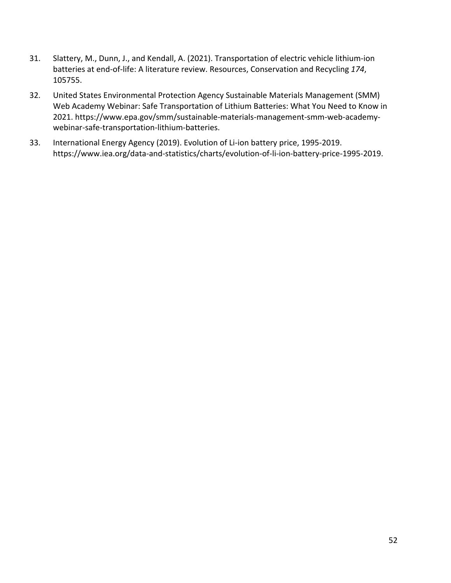- 31. Slattery, M., Dunn, J., and Kendall, A. (2021). Transportation of electric vehicle lithium-ion batteries at end-of-life: A literature review. Resources, Conservation and Recycling *174*, 105755.
- 32. United States Environmental Protection Agency Sustainable Materials Management (SMM) Web Academy Webinar: Safe Transportation of Lithium Batteries: What You Need to Know in 2021. https://www.epa.gov/smm/sustainable-materials-management-smm-web-academywebinar-safe-transportation-lithium-batteries.
- 33. International Energy Agency (2019). Evolution of Li-ion battery price, 1995-2019. https://www.iea.org/data-and-statistics/charts/evolution-of-li-ion-battery-price-1995-2019.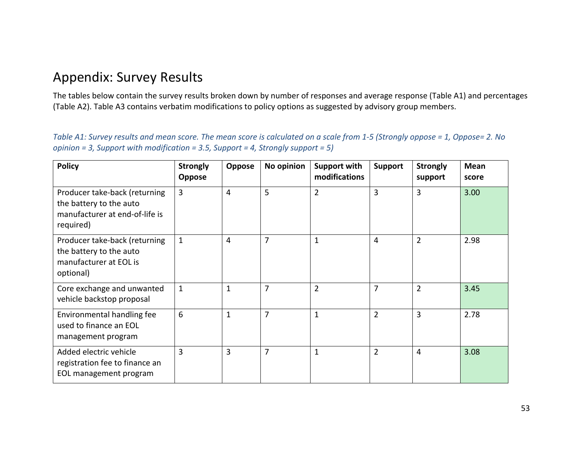## Appendix: Survey Results

The tables below contain the survey results broken down by number of responses and average response (Table A1) and percentages (Table A2). Table A3 contains verbatim modifications to policy options as suggested by advisory group members.

*Table A1: Survey results and mean score. The mean score is calculated on a scale from 1-5 (Strongly oppose = 1, Oppose= 2. No opinion = 3, Support with modification = 3.5, Support = 4, Strongly support = 5)*

<span id="page-57-0"></span>

| <b>Policy</b>                                                                                           | <b>Strongly</b><br><b>Oppose</b> | Oppose         | No opinion     | Support with<br>modifications | <b>Support</b> | <b>Strongly</b><br>support | <b>Mean</b><br>score |
|---------------------------------------------------------------------------------------------------------|----------------------------------|----------------|----------------|-------------------------------|----------------|----------------------------|----------------------|
| Producer take-back (returning<br>the battery to the auto<br>manufacturer at end-of-life is<br>required) | $\overline{3}$                   | $\overline{4}$ | 5              | $\overline{2}$                | 3              | $\overline{3}$             | 3.00                 |
| Producer take-back (returning<br>the battery to the auto<br>manufacturer at EOL is<br>optional)         | $\mathbf{1}$                     | $\overline{4}$ | $\overline{7}$ |                               | $\overline{4}$ | $\overline{2}$             | 2.98                 |
| Core exchange and unwanted<br>vehicle backstop proposal                                                 | $\mathbf{1}$                     | 1              | $\overline{7}$ | $\overline{2}$                | $\overline{7}$ | $\overline{2}$             | 3.45                 |
| Environmental handling fee<br>used to finance an EOL<br>management program                              | 6                                | 1              | $\overline{7}$ | 1                             | $\overline{2}$ | 3                          | 2.78                 |
| Added electric vehicle<br>registration fee to finance an<br>EOL management program                      | 3                                | $\overline{3}$ | $\overline{7}$ | 1                             | $\overline{2}$ | $\overline{4}$             | 3.08                 |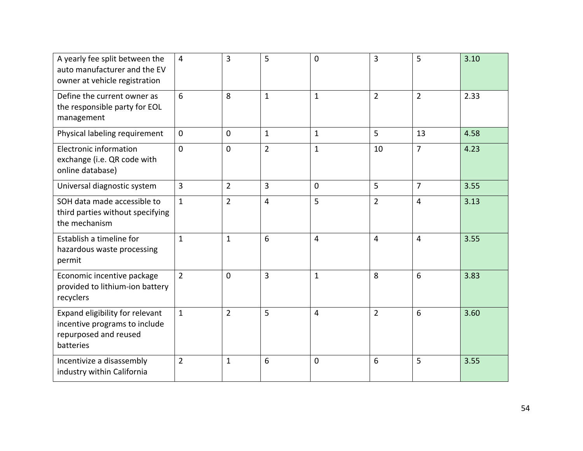| A yearly fee split between the<br>auto manufacturer and the EV<br>owner at vehicle registration        | $\overline{4}$ | 3              | 5              | $\Omega$       | 3              | 5              | 3.10 |
|--------------------------------------------------------------------------------------------------------|----------------|----------------|----------------|----------------|----------------|----------------|------|
| Define the current owner as<br>the responsible party for EOL<br>management                             | 6              | 8              | $\mathbf{1}$   | $\mathbf{1}$   | $\overline{2}$ | $\overline{2}$ | 2.33 |
| Physical labeling requirement                                                                          | $\mathbf 0$    | $\mathbf 0$    | $\mathbf{1}$   | $\mathbf{1}$   | 5              | 13             | 4.58 |
| Electronic information<br>exchange (i.e. QR code with<br>online database)                              | $\overline{0}$ | $\mathbf 0$    | $\overline{2}$ | $\mathbf{1}$   | 10             | $\overline{7}$ | 4.23 |
| Universal diagnostic system                                                                            | 3              | $\overline{2}$ | 3              | $\mathbf 0$    | 5              | $\overline{7}$ | 3.55 |
| SOH data made accessible to<br>third parties without specifying<br>the mechanism                       | $\mathbf{1}$   | $\overline{2}$ | $\overline{4}$ | 5              | $\overline{2}$ | 4              | 3.13 |
| Establish a timeline for<br>hazardous waste processing<br>permit                                       | $\mathbf{1}$   | $\mathbf{1}$   | 6              | 4              | 4              | 4              | 3.55 |
| Economic incentive package<br>provided to lithium-ion battery<br>recyclers                             | $\overline{2}$ | $\overline{0}$ | $\overline{3}$ | $\mathbf{1}$   | 8              | 6              | 3.83 |
| Expand eligibility for relevant<br>incentive programs to include<br>repurposed and reused<br>batteries | $\mathbf{1}$   | $\overline{2}$ | 5              | $\overline{4}$ | $\overline{2}$ | 6              | 3.60 |
| Incentivize a disassembly<br>industry within California                                                | $\overline{2}$ | $\mathbf{1}$   | 6              | 0              | 6              | 5              | 3.55 |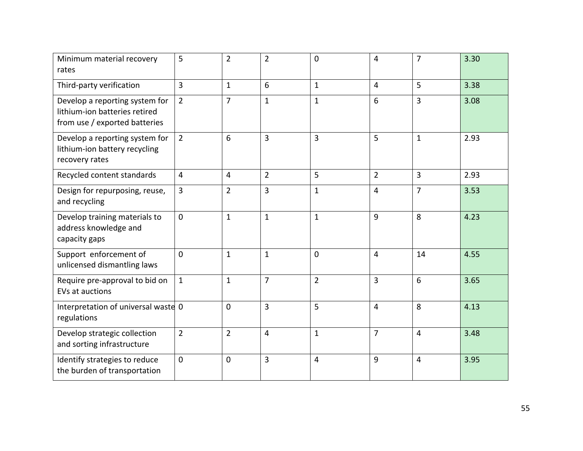| Minimum material recovery<br>rates                                                               | 5              | $\overline{2}$ | $\overline{2}$ | 0              | 4              | $\overline{7}$ | 3.30 |
|--------------------------------------------------------------------------------------------------|----------------|----------------|----------------|----------------|----------------|----------------|------|
| Third-party verification                                                                         | 3              | $\mathbf{1}$   | 6              | $\mathbf{1}$   | 4              | 5              | 3.38 |
| Develop a reporting system for<br>lithium-ion batteries retired<br>from use / exported batteries | $\overline{2}$ | $\overline{7}$ | $\mathbf{1}$   | $\mathbf{1}$   | 6              | $\overline{3}$ | 3.08 |
| Develop a reporting system for<br>lithium-ion battery recycling<br>recovery rates                | $\overline{2}$ | 6              | 3              | 3              | 5              | $\mathbf 1$    | 2.93 |
| Recycled content standards                                                                       | $\overline{4}$ | $\overline{4}$ | $\overline{2}$ | 5              | $\overline{2}$ | $\overline{3}$ | 2.93 |
| Design for repurposing, reuse,<br>and recycling                                                  | $\overline{3}$ | $\overline{2}$ | 3              | $\mathbf{1}$   | 4              | $\overline{7}$ | 3.53 |
| Develop training materials to<br>address knowledge and<br>capacity gaps                          | $\Omega$       | $\mathbf{1}$   | $\mathbf{1}$   | $\mathbf{1}$   | 9              | 8              | 4.23 |
| Support enforcement of<br>unlicensed dismantling laws                                            | $\mathbf{0}$   | $\mathbf{1}$   | $\mathbf{1}$   | $\mathbf 0$    | $\overline{4}$ | 14             | 4.55 |
| Require pre-approval to bid on<br>EVs at auctions                                                | $\mathbf{1}$   | $\mathbf{1}$   | $\overline{7}$ | $\overline{2}$ | $\overline{3}$ | 6              | 3.65 |
| Interpretation of universal waste 0<br>regulations                                               |                | $\mathbf 0$    | $\overline{3}$ | 5              | $\overline{4}$ | 8              | 4.13 |
| Develop strategic collection<br>and sorting infrastructure                                       | $\overline{2}$ | $\overline{2}$ | $\overline{4}$ | $\mathbf{1}$   | $\overline{7}$ | $\overline{4}$ | 3.48 |
| Identify strategies to reduce<br>the burden of transportation                                    | $\Omega$       | $\mathbf{0}$   | $\overline{3}$ | $\overline{4}$ | 9              | $\overline{4}$ | 3.95 |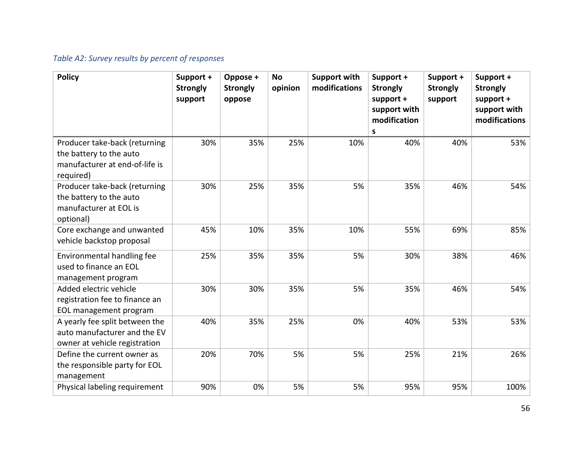### *Table A2: Survey results by percent of responses*

| <b>Policy</b>                                                                                           | Support +<br><b>Strongly</b><br>support | Oppose +<br><b>Strongly</b><br>oppose | <b>No</b><br>opinion | <b>Support with</b><br>modifications | Support +<br><b>Strongly</b><br>support +<br>support with<br>modification<br>S | Support +<br><b>Strongly</b><br>support | Support +<br><b>Strongly</b><br>support +<br>support with<br>modifications |
|---------------------------------------------------------------------------------------------------------|-----------------------------------------|---------------------------------------|----------------------|--------------------------------------|--------------------------------------------------------------------------------|-----------------------------------------|----------------------------------------------------------------------------|
| Producer take-back (returning<br>the battery to the auto<br>manufacturer at end-of-life is<br>required) | 30%                                     | 35%                                   | 25%                  | 10%                                  | 40%                                                                            | 40%                                     | 53%                                                                        |
| Producer take-back (returning<br>the battery to the auto<br>manufacturer at EOL is<br>optional)         | 30%                                     | 25%                                   | 35%                  | 5%                                   | 35%                                                                            | 46%                                     | 54%                                                                        |
| Core exchange and unwanted<br>vehicle backstop proposal                                                 | 45%                                     | 10%                                   | 35%                  | 10%                                  | 55%                                                                            | 69%                                     | 85%                                                                        |
| Environmental handling fee<br>used to finance an EOL<br>management program                              | 25%                                     | 35%                                   | 35%                  | 5%                                   | 30%                                                                            | 38%                                     | 46%                                                                        |
| Added electric vehicle<br>registration fee to finance an<br>EOL management program                      | 30%                                     | 30%                                   | 35%                  | 5%                                   | 35%                                                                            | 46%                                     | 54%                                                                        |
| A yearly fee split between the<br>auto manufacturer and the EV<br>owner at vehicle registration         | 40%                                     | 35%                                   | 25%                  | 0%                                   | 40%                                                                            | 53%                                     | 53%                                                                        |
| Define the current owner as<br>the responsible party for EOL<br>management                              | 20%                                     | 70%                                   | 5%                   | 5%                                   | 25%                                                                            | 21%                                     | 26%                                                                        |
| Physical labeling requirement                                                                           | 90%                                     | 0%                                    | 5%                   | 5%                                   | 95%                                                                            | 95%                                     | 100%                                                                       |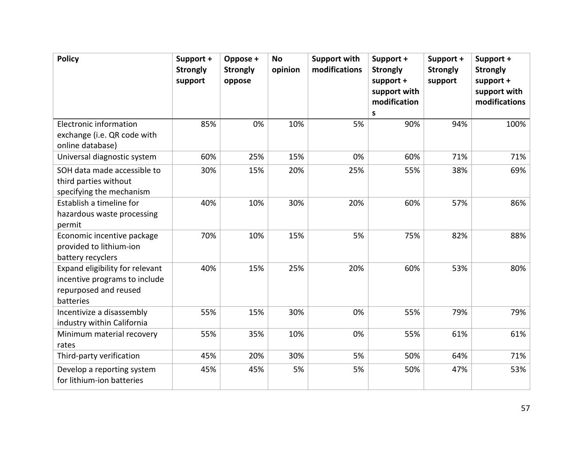| <b>Policy</b>                                                                                          | Support +<br><b>Strongly</b><br>support | Oppose +<br><b>Strongly</b><br>oppose | <b>No</b><br>opinion | <b>Support with</b><br>modifications | Support +<br><b>Strongly</b><br>support +<br>support with<br>modification<br>S | Support +<br><b>Strongly</b><br>support | Support +<br><b>Strongly</b><br>support +<br>support with<br>modifications |
|--------------------------------------------------------------------------------------------------------|-----------------------------------------|---------------------------------------|----------------------|--------------------------------------|--------------------------------------------------------------------------------|-----------------------------------------|----------------------------------------------------------------------------|
| Electronic information<br>exchange (i.e. QR code with<br>online database)                              | 85%                                     | 0%                                    | 10%                  | 5%                                   | 90%                                                                            | 94%                                     | 100%                                                                       |
| Universal diagnostic system                                                                            | 60%                                     | 25%                                   | 15%                  | 0%                                   | 60%                                                                            | 71%                                     | 71%                                                                        |
| SOH data made accessible to<br>third parties without<br>specifying the mechanism                       | 30%                                     | 15%                                   | 20%                  | 25%                                  | 55%                                                                            | 38%                                     | 69%                                                                        |
| Establish a timeline for<br>hazardous waste processing<br>permit                                       | 40%                                     | 10%                                   | 30%                  | 20%                                  | 60%                                                                            | 57%                                     | 86%                                                                        |
| Economic incentive package<br>provided to lithium-ion<br>battery recyclers                             | 70%                                     | 10%                                   | 15%                  | 5%                                   | 75%                                                                            | 82%                                     | 88%                                                                        |
| Expand eligibility for relevant<br>incentive programs to include<br>repurposed and reused<br>batteries | 40%                                     | 15%                                   | 25%                  | 20%                                  | 60%                                                                            | 53%                                     | 80%                                                                        |
| Incentivize a disassembly<br>industry within California                                                | 55%                                     | 15%                                   | 30%                  | 0%                                   | 55%                                                                            | 79%                                     | 79%                                                                        |
| Minimum material recovery<br>rates                                                                     | 55%                                     | 35%                                   | 10%                  | 0%                                   | 55%                                                                            | 61%                                     | 61%                                                                        |
| Third-party verification                                                                               | 45%                                     | 20%                                   | 30%                  | 5%                                   | 50%                                                                            | 64%                                     | 71%                                                                        |
| Develop a reporting system<br>for lithium-ion batteries                                                | 45%                                     | 45%                                   | 5%                   | 5%                                   | 50%                                                                            | 47%                                     | 53%                                                                        |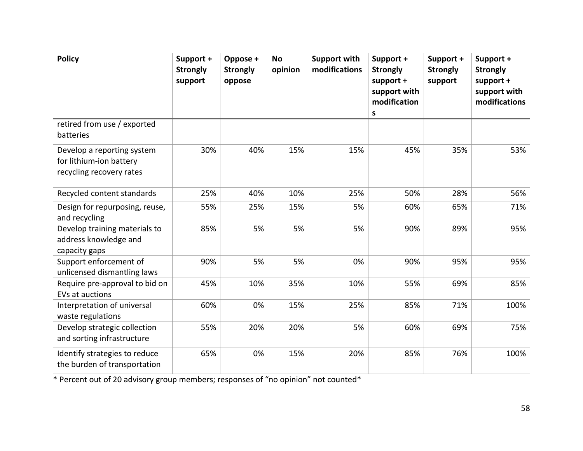| <b>Policy</b>                                                                     | Support +<br><b>Strongly</b><br>support | Oppose +<br><b>Strongly</b><br>oppose | <b>No</b><br>opinion | <b>Support with</b><br>modifications | Support +<br><b>Strongly</b><br>support +<br>support with<br>modification<br>S | Support +<br><b>Strongly</b><br>support | Support +<br><b>Strongly</b><br>support +<br>support with<br>modifications |
|-----------------------------------------------------------------------------------|-----------------------------------------|---------------------------------------|----------------------|--------------------------------------|--------------------------------------------------------------------------------|-----------------------------------------|----------------------------------------------------------------------------|
| retired from use / exported<br>batteries                                          |                                         |                                       |                      |                                      |                                                                                |                                         |                                                                            |
| Develop a reporting system<br>for lithium-ion battery<br>recycling recovery rates | 30%                                     | 40%                                   | 15%                  | 15%                                  | 45%                                                                            | 35%                                     | 53%                                                                        |
| Recycled content standards                                                        | 25%                                     | 40%                                   | 10%                  | 25%                                  | 50%                                                                            | 28%                                     | 56%                                                                        |
| Design for repurposing, reuse,<br>and recycling                                   | 55%                                     | 25%                                   | 15%                  | 5%                                   | 60%                                                                            | 65%                                     | 71%                                                                        |
| Develop training materials to<br>address knowledge and<br>capacity gaps           | 85%                                     | 5%                                    | 5%                   | 5%                                   | 90%                                                                            | 89%                                     | 95%                                                                        |
| Support enforcement of<br>unlicensed dismantling laws                             | 90%                                     | 5%                                    | 5%                   | 0%                                   | 90%                                                                            | 95%                                     | 95%                                                                        |
| Require pre-approval to bid on<br>EVs at auctions                                 | 45%                                     | 10%                                   | 35%                  | 10%                                  | 55%                                                                            | 69%                                     | 85%                                                                        |
| Interpretation of universal<br>waste regulations                                  | 60%                                     | 0%                                    | 15%                  | 25%                                  | 85%                                                                            | 71%                                     | 100%                                                                       |
| Develop strategic collection<br>and sorting infrastructure                        | 55%                                     | 20%                                   | 20%                  | 5%                                   | 60%                                                                            | 69%                                     | 75%                                                                        |
| Identify strategies to reduce<br>the burden of transportation                     | 65%                                     | 0%                                    | 15%                  | 20%                                  | 85%                                                                            | 76%                                     | 100%                                                                       |

\* Percent out of 20 advisory group members; responses of "no opinion" not counted\*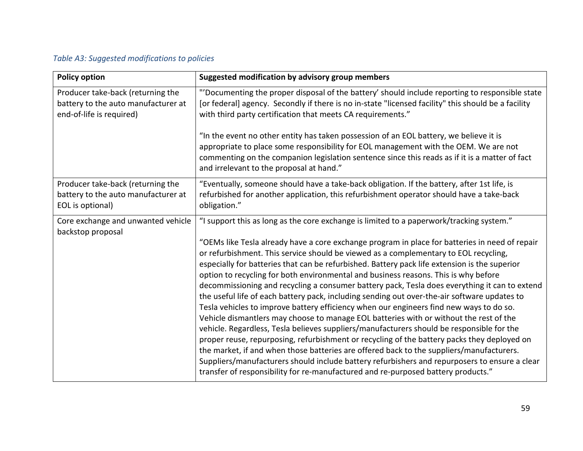### *Table A3: Suggested modifications to policies*

| <b>Policy option</b>                                                                                 | Suggested modification by advisory group members                                                                                                                                                                                                                                                                                                                                                                                                                                                                                                                                                                                                                                                                                                                                                                                                                                                                                                                                                                                                                                                                                                         |
|------------------------------------------------------------------------------------------------------|----------------------------------------------------------------------------------------------------------------------------------------------------------------------------------------------------------------------------------------------------------------------------------------------------------------------------------------------------------------------------------------------------------------------------------------------------------------------------------------------------------------------------------------------------------------------------------------------------------------------------------------------------------------------------------------------------------------------------------------------------------------------------------------------------------------------------------------------------------------------------------------------------------------------------------------------------------------------------------------------------------------------------------------------------------------------------------------------------------------------------------------------------------|
| Producer take-back (returning the<br>battery to the auto manufacturer at<br>end-of-life is required) | "'Documenting the proper disposal of the battery' should include reporting to responsible state<br>[or federal] agency. Secondly if there is no in-state "licensed facility" this should be a facility<br>with third party certification that meets CA requirements."                                                                                                                                                                                                                                                                                                                                                                                                                                                                                                                                                                                                                                                                                                                                                                                                                                                                                    |
|                                                                                                      | "In the event no other entity has taken possession of an EOL battery, we believe it is<br>appropriate to place some responsibility for EOL management with the OEM. We are not<br>commenting on the companion legislation sentence since this reads as if it is a matter of fact<br>and irrelevant to the proposal at hand."                                                                                                                                                                                                                                                                                                                                                                                                                                                                                                                                                                                                                                                                                                                                                                                                                             |
| Producer take-back (returning the<br>battery to the auto manufacturer at<br>EOL is optional)         | "Eventually, someone should have a take-back obligation. If the battery, after 1st life, is<br>refurbished for another application, this refurbishment operator should have a take-back<br>obligation."                                                                                                                                                                                                                                                                                                                                                                                                                                                                                                                                                                                                                                                                                                                                                                                                                                                                                                                                                  |
| Core exchange and unwanted vehicle<br>backstop proposal                                              | "I support this as long as the core exchange is limited to a paperwork/tracking system."<br>"OEMs like Tesla already have a core exchange program in place for batteries in need of repair<br>or refurbishment. This service should be viewed as a complementary to EOL recycling,<br>especially for batteries that can be refurbished. Battery pack life extension is the superior<br>option to recycling for both environmental and business reasons. This is why before<br>decommissioning and recycling a consumer battery pack, Tesla does everything it can to extend<br>the useful life of each battery pack, including sending out over-the-air software updates to<br>Tesla vehicles to improve battery efficiency when our engineers find new ways to do so.<br>Vehicle dismantlers may choose to manage EOL batteries with or without the rest of the<br>vehicle. Regardless, Tesla believes suppliers/manufacturers should be responsible for the<br>proper reuse, repurposing, refurbishment or recycling of the battery packs they deployed on<br>the market, if and when those batteries are offered back to the suppliers/manufacturers. |
|                                                                                                      | Suppliers/manufacturers should include battery refurbishers and repurposers to ensure a clear<br>transfer of responsibility for re-manufactured and re-purposed battery products."                                                                                                                                                                                                                                                                                                                                                                                                                                                                                                                                                                                                                                                                                                                                                                                                                                                                                                                                                                       |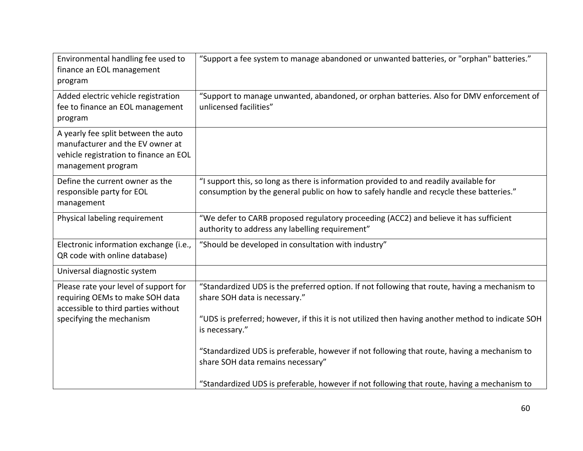| Environmental handling fee used to<br>finance an EOL management<br>program                                                              | "Support a fee system to manage abandoned or unwanted batteries, or "orphan" batteries."                                                                                          |
|-----------------------------------------------------------------------------------------------------------------------------------------|-----------------------------------------------------------------------------------------------------------------------------------------------------------------------------------|
| Added electric vehicle registration<br>fee to finance an EOL management<br>program                                                      | "Support to manage unwanted, abandoned, or orphan batteries. Also for DMV enforcement of<br>unlicensed facilities"                                                                |
| A yearly fee split between the auto<br>manufacturer and the EV owner at<br>vehicle registration to finance an EOL<br>management program |                                                                                                                                                                                   |
| Define the current owner as the<br>responsible party for EOL<br>management                                                              | "I support this, so long as there is information provided to and readily available for<br>consumption by the general public on how to safely handle and recycle these batteries." |
| Physical labeling requirement                                                                                                           | "We defer to CARB proposed regulatory proceeding (ACC2) and believe it has sufficient<br>authority to address any labelling requirement"                                          |
| Electronic information exchange (i.e.,<br>QR code with online database)                                                                 | "Should be developed in consultation with industry"                                                                                                                               |
| Universal diagnostic system                                                                                                             |                                                                                                                                                                                   |
| Please rate your level of support for<br>requiring OEMs to make SOH data<br>accessible to third parties without                         | "Standardized UDS is the preferred option. If not following that route, having a mechanism to<br>share SOH data is necessary."                                                    |
| specifying the mechanism                                                                                                                | "UDS is preferred; however, if this it is not utilized then having another method to indicate SOH<br>is necessary."                                                               |
|                                                                                                                                         | "Standardized UDS is preferable, however if not following that route, having a mechanism to<br>share SOH data remains necessary"                                                  |
|                                                                                                                                         | "Standardized UDS is preferable, however if not following that route, having a mechanism to                                                                                       |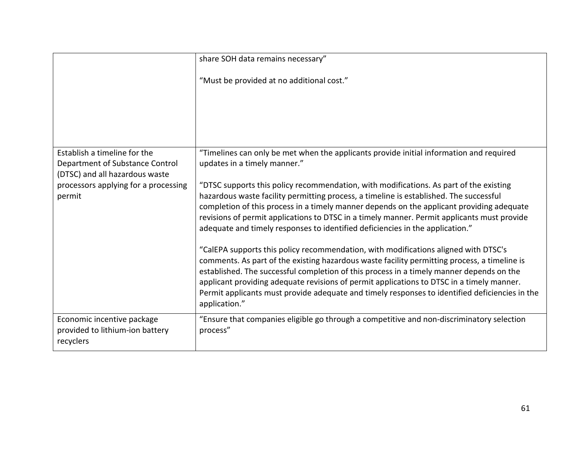|                                                                                                   | share SOH data remains necessary"                                                                                                                                                                                                                                                                                                                                                                                                                                                               |
|---------------------------------------------------------------------------------------------------|-------------------------------------------------------------------------------------------------------------------------------------------------------------------------------------------------------------------------------------------------------------------------------------------------------------------------------------------------------------------------------------------------------------------------------------------------------------------------------------------------|
|                                                                                                   | "Must be provided at no additional cost."                                                                                                                                                                                                                                                                                                                                                                                                                                                       |
|                                                                                                   |                                                                                                                                                                                                                                                                                                                                                                                                                                                                                                 |
|                                                                                                   |                                                                                                                                                                                                                                                                                                                                                                                                                                                                                                 |
| Establish a timeline for the<br>Department of Substance Control<br>(DTSC) and all hazardous waste | "Timelines can only be met when the applicants provide initial information and required<br>updates in a timely manner."                                                                                                                                                                                                                                                                                                                                                                         |
| processors applying for a processing<br>permit                                                    | "DTSC supports this policy recommendation, with modifications. As part of the existing<br>hazardous waste facility permitting process, a timeline is established. The successful<br>completion of this process in a timely manner depends on the applicant providing adequate<br>revisions of permit applications to DTSC in a timely manner. Permit applicants must provide<br>adequate and timely responses to identified deficiencies in the application."                                   |
|                                                                                                   | "CalEPA supports this policy recommendation, with modifications aligned with DTSC's<br>comments. As part of the existing hazardous waste facility permitting process, a timeline is<br>established. The successful completion of this process in a timely manner depends on the<br>applicant providing adequate revisions of permit applications to DTSC in a timely manner.<br>Permit applicants must provide adequate and timely responses to identified deficiencies in the<br>application." |
| Economic incentive package<br>provided to lithium-ion battery<br>recyclers                        | "Ensure that companies eligible go through a competitive and non-discriminatory selection<br>process"                                                                                                                                                                                                                                                                                                                                                                                           |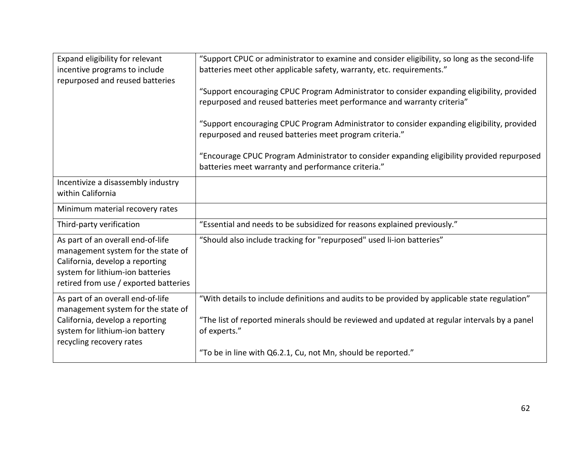| Expand eligibility for relevant<br>incentive programs to include<br>repurposed and reused batteries                                                                                     | "Support CPUC or administrator to examine and consider eligibility, so long as the second-life<br>batteries meet other applicable safety, warranty, etc. requirements." |
|-----------------------------------------------------------------------------------------------------------------------------------------------------------------------------------------|-------------------------------------------------------------------------------------------------------------------------------------------------------------------------|
|                                                                                                                                                                                         | "Support encouraging CPUC Program Administrator to consider expanding eligibility, provided<br>repurposed and reused batteries meet performance and warranty criteria"  |
|                                                                                                                                                                                         | "Support encouraging CPUC Program Administrator to consider expanding eligibility, provided<br>repurposed and reused batteries meet program criteria."                  |
|                                                                                                                                                                                         | "Encourage CPUC Program Administrator to consider expanding eligibility provided repurposed<br>batteries meet warranty and performance criteria."                       |
| Incentivize a disassembly industry<br>within California                                                                                                                                 |                                                                                                                                                                         |
| Minimum material recovery rates                                                                                                                                                         |                                                                                                                                                                         |
| Third-party verification                                                                                                                                                                | "Essential and needs to be subsidized for reasons explained previously."                                                                                                |
| As part of an overall end-of-life<br>management system for the state of<br>California, develop a reporting<br>system for lithium-ion batteries<br>retired from use / exported batteries | "Should also include tracking for "repurposed" used li-ion batteries"                                                                                                   |
| As part of an overall end-of-life                                                                                                                                                       | "With details to include definitions and audits to be provided by applicable state regulation"                                                                          |
| management system for the state of<br>California, develop a reporting<br>system for lithium-ion battery<br>recycling recovery rates                                                     | "The list of reported minerals should be reviewed and updated at regular intervals by a panel<br>of experts."                                                           |
|                                                                                                                                                                                         | "To be in line with Q6.2.1, Cu, not Mn, should be reported."                                                                                                            |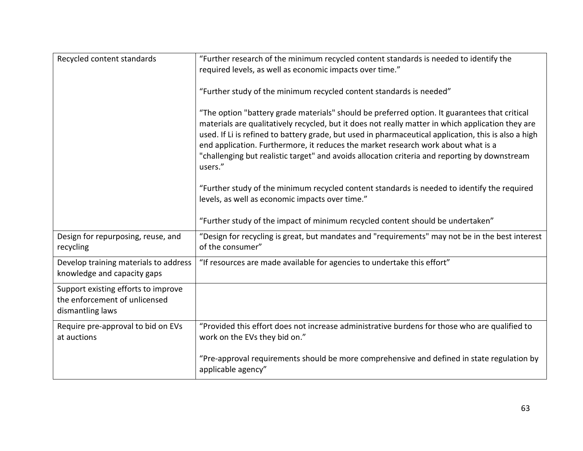| Recycled content standards                                                               | "Further research of the minimum recycled content standards is needed to identify the<br>required levels, as well as economic impacts over time."                                                                                                                                                                                                                                                                                                                                                           |
|------------------------------------------------------------------------------------------|-------------------------------------------------------------------------------------------------------------------------------------------------------------------------------------------------------------------------------------------------------------------------------------------------------------------------------------------------------------------------------------------------------------------------------------------------------------------------------------------------------------|
|                                                                                          | "Further study of the minimum recycled content standards is needed"                                                                                                                                                                                                                                                                                                                                                                                                                                         |
|                                                                                          | "The option "battery grade materials" should be preferred option. It guarantees that critical<br>materials are qualitatively recycled, but it does not really matter in which application they are<br>used. If Li is refined to battery grade, but used in pharmaceutical application, this is also a high<br>end application. Furthermore, it reduces the market research work about what is a<br>"challenging but realistic target" and avoids allocation criteria and reporting by downstream<br>users." |
|                                                                                          | "Further study of the minimum recycled content standards is needed to identify the required<br>levels, as well as economic impacts over time."                                                                                                                                                                                                                                                                                                                                                              |
|                                                                                          | "Further study of the impact of minimum recycled content should be undertaken"                                                                                                                                                                                                                                                                                                                                                                                                                              |
| Design for repurposing, reuse, and<br>recycling                                          | "Design for recycling is great, but mandates and "requirements" may not be in the best interest<br>of the consumer"                                                                                                                                                                                                                                                                                                                                                                                         |
| Develop training materials to address<br>knowledge and capacity gaps                     | "If resources are made available for agencies to undertake this effort"                                                                                                                                                                                                                                                                                                                                                                                                                                     |
| Support existing efforts to improve<br>the enforcement of unlicensed<br>dismantling laws |                                                                                                                                                                                                                                                                                                                                                                                                                                                                                                             |
| Require pre-approval to bid on EVs<br>at auctions                                        | "Provided this effort does not increase administrative burdens for those who are qualified to<br>work on the EVs they bid on."                                                                                                                                                                                                                                                                                                                                                                              |
|                                                                                          | "Pre-approval requirements should be more comprehensive and defined in state regulation by<br>applicable agency"                                                                                                                                                                                                                                                                                                                                                                                            |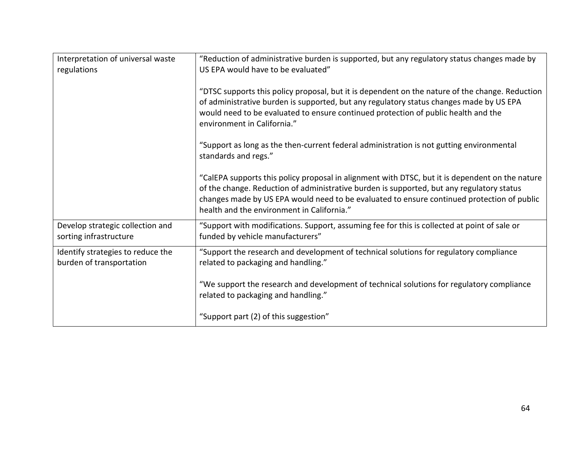| Interpretation of universal waste                             | "Reduction of administrative burden is supported, but any regulatory status changes made by                                                                                                                                                                                                                                              |
|---------------------------------------------------------------|------------------------------------------------------------------------------------------------------------------------------------------------------------------------------------------------------------------------------------------------------------------------------------------------------------------------------------------|
| regulations                                                   | US EPA would have to be evaluated"                                                                                                                                                                                                                                                                                                       |
|                                                               | "DTSC supports this policy proposal, but it is dependent on the nature of the change. Reduction<br>of administrative burden is supported, but any regulatory status changes made by US EPA<br>would need to be evaluated to ensure continued protection of public health and the<br>environment in California."                          |
|                                                               | "Support as long as the then-current federal administration is not gutting environmental<br>standards and regs."                                                                                                                                                                                                                         |
|                                                               | "CalEPA supports this policy proposal in alignment with DTSC, but it is dependent on the nature<br>of the change. Reduction of administrative burden is supported, but any regulatory status<br>changes made by US EPA would need to be evaluated to ensure continued protection of public<br>health and the environment in California." |
| Develop strategic collection and<br>sorting infrastructure    | "Support with modifications. Support, assuming fee for this is collected at point of sale or<br>funded by vehicle manufacturers"                                                                                                                                                                                                         |
| Identify strategies to reduce the<br>burden of transportation | "Support the research and development of technical solutions for regulatory compliance<br>related to packaging and handling."                                                                                                                                                                                                            |
|                                                               | "We support the research and development of technical solutions for regulatory compliance<br>related to packaging and handling."                                                                                                                                                                                                         |
|                                                               | "Support part (2) of this suggestion"                                                                                                                                                                                                                                                                                                    |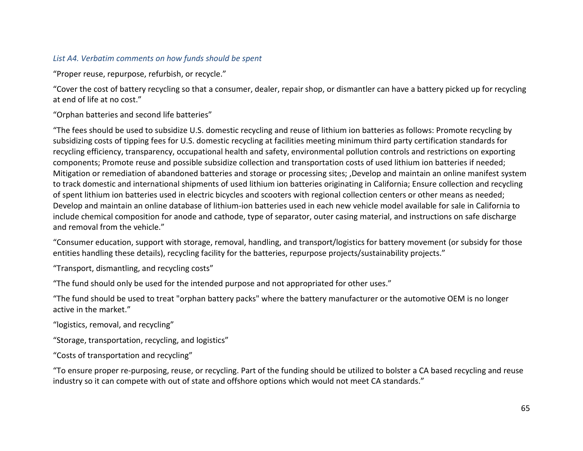#### *List A4. Verbatim comments on how funds should be spent*

"Proper reuse, repurpose, refurbish, or recycle."

"Cover the cost of battery recycling so that a consumer, dealer, repair shop, or dismantler can have a battery picked up for recycling at end of life at no cost."

"Orphan batteries and second life batteries"

"The fees should be used to subsidize U.S. domestic recycling and reuse of lithium ion batteries as follows: Promote recycling by subsidizing costs of tipping fees for U.S. domestic recycling at facilities meeting minimum third party certification standards for recycling efficiency, transparency, occupational health and safety, environmental pollution controls and restrictions on exporting components; Promote reuse and possible subsidize collection and transportation costs of used lithium ion batteries if needed; Mitigation or remediation of abandoned batteries and storage or processing sites; ,Develop and maintain an online manifest system to track domestic and international shipments of used lithium ion batteries originating in California; Ensure collection and recycling of spent lithium ion batteries used in electric bicycles and scooters with regional collection centers or other means as needed; Develop and maintain an online database of lithium-ion batteries used in each new vehicle model available for sale in California to include chemical composition for anode and cathode, type of separator, outer casing material, and instructions on safe discharge and removal from the vehicle."

"Consumer education, support with storage, removal, handling, and transport/logistics for battery movement (or subsidy for those entities handling these details), recycling facility for the batteries, repurpose projects/sustainability projects."

"Transport, dismantling, and recycling costs"

"The fund should only be used for the intended purpose and not appropriated for other uses."

"The fund should be used to treat "orphan battery packs" where the battery manufacturer or the automotive OEM is no longer active in the market."

"logistics, removal, and recycling"

"Storage, transportation, recycling, and logistics"

"Costs of transportation and recycling"

"To ensure proper re-purposing, reuse, or recycling. Part of the funding should be utilized to bolster a CA based recycling and reuse industry so it can compete with out of state and offshore options which would not meet CA standards."